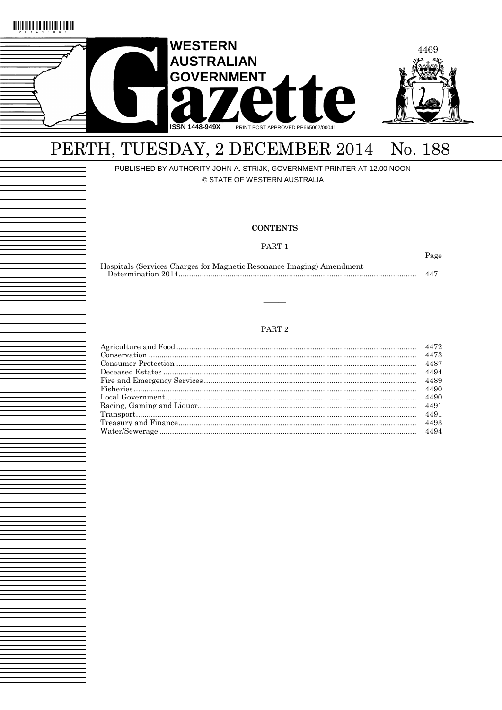



# PERTH, TUESDAY, 2 DECEMBER 2014 No. 188

### PUBLISHED BY AUTHORITY JOHN A. STRIJK, GOVERNMENT PRINTER AT 12.00 NOON

© STATE OF WESTERN AUSTRALIA

### **CONTENTS**

PART<sub>1</sub>

Page

| Hospitals (Services Charges for Magnetic Resonance Imaging) Amendment |      |
|-----------------------------------------------------------------------|------|
|                                                                       | 4471 |

### PART<sub>2</sub>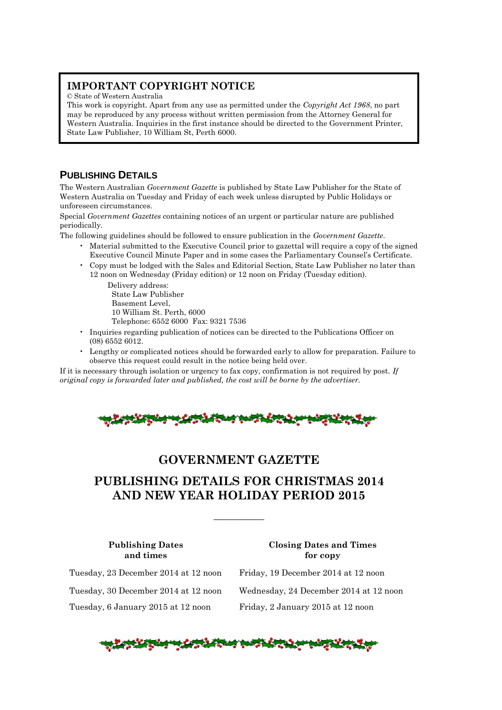### **IMPORTANT COPYRIGHT NOTICE**

© State of Western Australia

This work is copyright. Apart from any use as permitted under the *Copyright Act 1968*, no part may be reproduced by any process without written permission from the Attorney General for Western Australia. Inquiries in the first instance should be directed to the Government Printer, State Law Publisher, 10 William St, Perth 6000.

### **PUBLISHING DETAILS**

The Western Australian *Government Gazette* is published by State Law Publisher for the State of Western Australia on Tuesday and Friday of each week unless disrupted by Public Holidays or unforeseen circumstances.

Special *Government Gazettes* containing notices of an urgent or particular nature are published periodically.

The following guidelines should be followed to ensure publication in the *Government Gazette*.

- Material submitted to the Executive Council prior to gazettal will require a copy of the signed Executive Council Minute Paper and in some cases the Parliamentary Counsel's Certificate.
- Copy must be lodged with the Sales and Editorial Section, State Law Publisher no later than 12 noon on Wednesday (Friday edition) or 12 noon on Friday (Tuesday edition).

Delivery address: State Law Publisher Basement Level,

10 William St. Perth, 6000

Telephone: 6552 6000 Fax: 9321 7536

- Inquiries regarding publication of notices can be directed to the Publications Officer on (08) 6552 6012.
- Lengthy or complicated notices should be forwarded early to allow for preparation. Failure to observe this request could result in the notice being held over.

If it is necessary through isolation or urgency to fax copy, confirmation is not required by post. *If original copy is forwarded later and published, the cost will be borne by the advertiser.*



### **GOVERNMENT GAZETTE**

### **PUBLISHING DETAILS FOR CHRISTMAS 2014 AND NEW YEAR HOLIDAY PERIOD 2015**

—————

**Publishing Dates Closing Dates and Times and times for copy**

Tuesday, 6 January 2015 at 12 noon Friday, 2 January 2015 at 12 noon

Tuesday, 23 December 2014 at 12 noon Friday, 19 December 2014 at 12 noon Tuesday, 30 December 2014 at 12 noon Wednesday, 24 December 2014 at 12 noon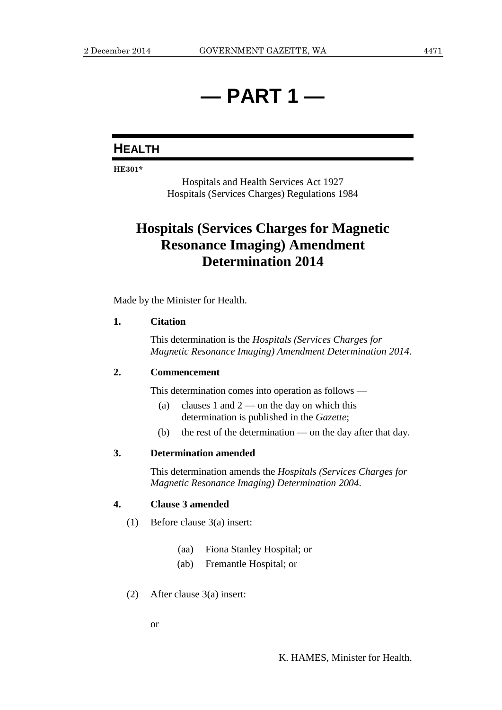## **— PART 1 —**

### **HEALTH**

**HE301\***

Hospitals and Health Services Act 1927 Hospitals (Services Charges) Regulations 1984

## **Hospitals (Services Charges for Magnetic Resonance Imaging) Amendment Determination 2014**

Made by the Minister for Health.

### **1. Citation**

This determination is the *Hospitals (Services Charges for Magnetic Resonance Imaging) Amendment Determination 2014*.

### **2. Commencement**

This determination comes into operation as follows —

- (a) clauses 1 and  $2$  on the day on which this determination is published in the *Gazette*;
- (b) the rest of the determination on the day after that day.

### **3. Determination amended**

This determination amends the *Hospitals (Services Charges for Magnetic Resonance Imaging) Determination 2004*.

### **4. Clause 3 amended**

- (1) Before clause 3(a) insert:
	- (aa) Fiona Stanley Hospital; or
	- (ab) Fremantle Hospital; or
- (2) After clause 3(a) insert:

or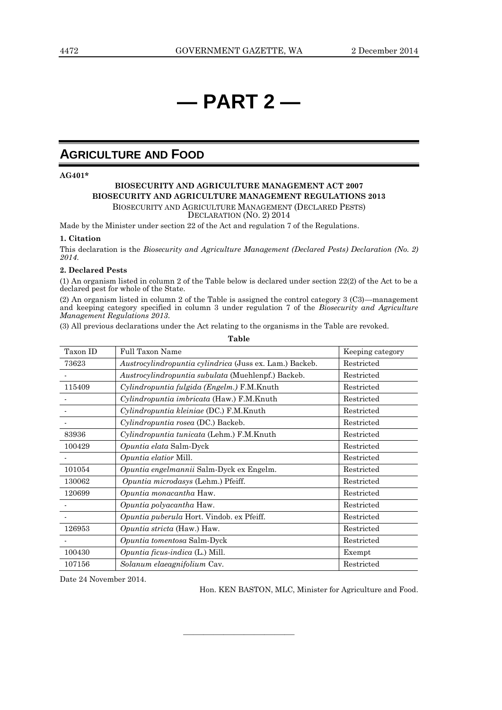## **— PART 2 —**

### **AGRICULTURE AND FOOD**

### **AG401\***

### **BIOSECURITY AND AGRICULTURE MANAGEMENT ACT 2007 BIOSECURITY AND AGRICULTURE MANAGEMENT REGULATIONS 2013** BIOSECURITY AND AGRICULTURE MANAGEMENT (DECLARED PESTS) DECLARATION (NO. 2) 2014

Made by the Minister under section 22 of the Act and regulation 7 of the Regulations.

#### **1. Citation**

This declaration is the *Biosecurity and Agriculture Management (Declared Pests) Declaration (No. 2) 2014*.

### **2. Declared Pests**

(1) An organism listed in column 2 of the Table below is declared under section 22(2) of the Act to be a declared pest for whole of the State.

(2) An organism listed in column 2 of the Table is assigned the control category 3 (C3)—management and keeping category specified in column 3 under regulation 7 of the *Biosecurity and Agriculture Management Regulations 2013*.

(3) All previous declarations under the Act relating to the organisms in the Table are revoked.

Taxon ID Full Taxon Name Keeping category 73623 *Austrocylindropuntia cylindrica* (Juss ex. Lam.) Backeb. Restricted Austrocylindropuntia subulata (Muehlenpf.) Backeb. Restricted 115409 *Cylindropuntia fulgida (Engelm.)* F.M.Knuth Restricted *Cylindropuntia imbricata* (Haw.) F.M.Knuth Restricted - *Cylindropuntia kleiniae* (DC.) F.M.Knuth Restricted *Cylindropuntia rosea* (DC.) Backeb. Restricted 83936 *Cylindropuntia tunicata* (Lehm.) F.M.Knuth Restricted 100429 *Opuntia elata* Salm-Dyck Restricted - *Opuntia elatior* Mill. Restricted 101054 *Opuntia engelmannii* Salm-Dyck ex Engelm. Restricted 130062 *Opuntia microdasys* (Lehm.) Pfeiff. Restricted 120699 *Opuntia monacantha* Haw. Restricted *Opuntia polyacantha* Haw. Restricted *Opuntia puberula* Hort. Vindob. ex Pfeiff. Restricted 126953 *Opuntia stricta* (Haw.) Haw. Restricted *Opuntia tomentosa* Salm-Dyck Restricted 100430 *Opuntia ficus-indica* (L.) Mill. Exempt 107156 *Solanum elaeagnifolium* Cav. Restricted

————————————————————

**Table**

Date 24 November 2014.

Hon. KEN BASTON, MLC, Minister for Agriculture and Food.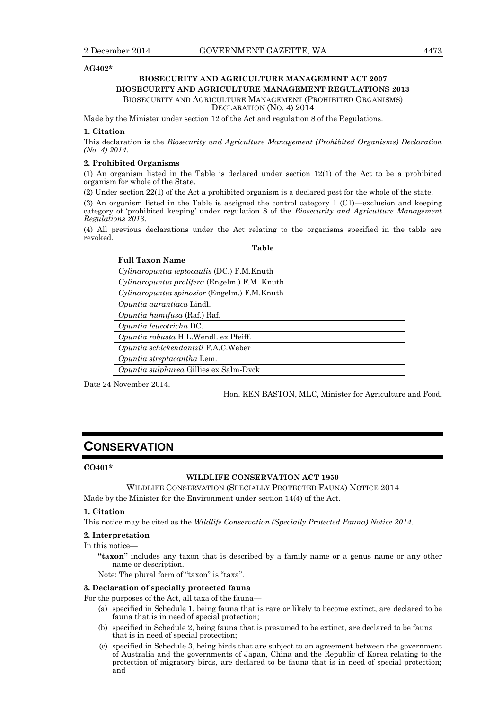### **AG402\***

### **BIOSECURITY AND AGRICULTURE MANAGEMENT ACT 2007 BIOSECURITY AND AGRICULTURE MANAGEMENT REGULATIONS 2013** BIOSECURITY AND AGRICULTURE MANAGEMENT (PROHIBITED ORGANISMS)

DECLARATION (NO. 4) 2014

Made by the Minister under section 12 of the Act and regulation 8 of the Regulations.

#### **1. Citation**

This declaration is the *Biosecurity and Agriculture Management (Prohibited Organisms) Declaration (No. 4) 2014*.

#### **2. Prohibited Organisms**

(1) An organism listed in the Table is declared under section 12(1) of the Act to be a prohibited organism for whole of the State.

(2) Under section 22(1) of the Act a prohibited organism is a declared pest for the whole of the state.

(3) An organism listed in the Table is assigned the control category 1 (C1)—exclusion and keeping category of 'prohibited keeping' under regulation 8 of the *Biosecurity and Agriculture Management Regulations 2013*.

(4) All previous declarations under the Act relating to the organisms specified in the table are revoked. **Table**

| TUNIO                                                |
|------------------------------------------------------|
| <b>Full Taxon Name</b>                               |
| <i>Cylindropuntia leptocaulis</i> (DC.) F.M. Knuth   |
| <i>Cylindropuntia prolifera</i> (Engelm.) F.M. Knuth |
| Cylindropuntia spinosior (Engelm.) F.M.Knuth         |
| Opuntia aurantiaca Lindl.                            |
| <i>Opuntia humifusa</i> (Raf.) Raf.                  |
| Opuntia leucotricha DC.                              |
| <i>Opuntia robusta</i> H.L.Wendl. ex Pfeiff.         |
| Opuntia schickendantzii F.A.C.Weber                  |
| Opuntia streptacantha Lem.                           |
| <i>Opuntia sulphurea</i> Gillies ex Salm-Dyck        |
|                                                      |

Date 24 November 2014.

Hon. KEN BASTON, MLC, Minister for Agriculture and Food.

### **CONSERVATION**

### **CO401\***

### **WILDLIFE CONSERVATION ACT 1950**

WILDLIFE CONSERVATION (SPECIALLY PROTECTED FAUNA) NOTICE 2014 Made by the Minister for the Environment under section 14(4) of the Act.

#### **1. Citation**

This notice may be cited as the *Wildlife Conservation (Specially Protected Fauna) Notice 2014*.

### **2. Interpretation**

#### In this notice—

**"taxon"** includes any taxon that is described by a family name or a genus name or any other name or description.

Note: The plural form of "taxon" is "taxa".

### **3. Declaration of specially protected fauna**

For the purposes of the Act, all taxa of the fauna—

- (a) specified in Schedule 1, being fauna that is rare or likely to become extinct, are declared to be fauna that is in need of special protection;
- (b) specified in Schedule 2, being fauna that is presumed to be extinct, are declared to be fauna that is in need of special protection;
- (c) specified in Schedule 3, being birds that are subject to an agreement between the government of Australia and the governments of Japan, China and the Republic of Korea relating to the protection of migratory birds, are declared to be fauna that is in need of special protection; and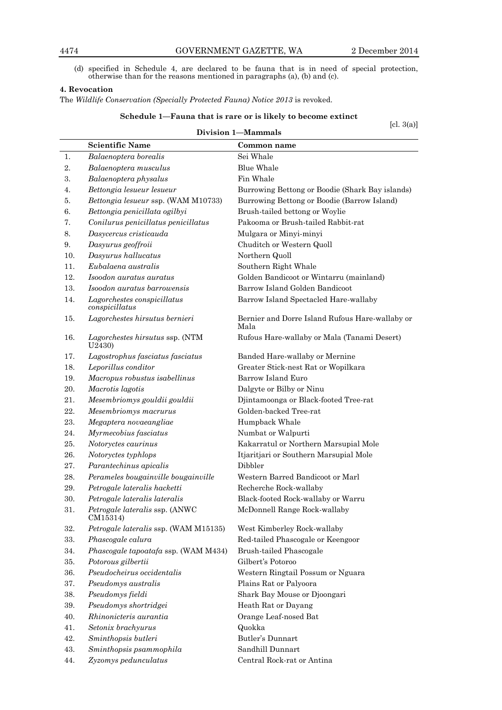(d) specified in Schedule 4, are declared to be fauna that is in need of special protection, otherwise than for the reasons mentioned in paragraphs (a), (b) and (c).

### **4. Revocation**

The *Wildlife Conservation (Specially Protected Fauna) Notice 2013* is revoked.

### **Schedule 1—Fauna that is rare or is likely to become extinct**

[cl. 3(a)]

|     | $\lfloor ct. \theta(a) \rfloor$<br><b>Division 1-Mammals</b> |                                                         |  |
|-----|--------------------------------------------------------------|---------------------------------------------------------|--|
|     | <b>Scientific Name</b>                                       | Common name                                             |  |
| 1.  | Balaenoptera borealis                                        | Sei Whale                                               |  |
| 2.  | Balaenoptera musculus                                        | <b>Blue Whale</b>                                       |  |
| 3.  | Balaenoptera physalus                                        | Fin Whale                                               |  |
| 4.  | Bettongia lesueur lesueur                                    | Burrowing Bettong or Boodie (Shark Bay islands)         |  |
| 5.  | Bettongia lesueur ssp. (WAM M10733)                          | Burrowing Bettong or Boodie (Barrow Island)             |  |
| 6.  | Bettongia penicillata ogilbyi                                | Brush-tailed bettong or Woylie                          |  |
| 7.  | Conilurus penicillatus penicillatus                          | Pakooma or Brush-tailed Rabbit-rat                      |  |
| 8.  | Dasycercus cristicauda                                       | Mulgara or Minyi-minyi                                  |  |
| 9.  | Dasyurus geoffroii                                           | Chuditch or Western Quoll                               |  |
| 10. | Dasyurus hallucatus                                          | Northern Quoll                                          |  |
| 11. | Eubalaena australis                                          | Southern Right Whale                                    |  |
| 12. | Isoodon auratus auratus                                      | Golden Bandicoot or Wintarru (mainland)                 |  |
| 13. | Isoodon auratus barrowensis                                  | Barrow Island Golden Bandicoot                          |  |
| 14. | Lagorchestes conspicillatus                                  | Barrow Island Spectacled Hare-wallaby                   |  |
|     | conspicillatus                                               |                                                         |  |
| 15. | Lagorchestes hirsutus bernieri                               | Bernier and Dorre Island Rufous Hare-wallaby or<br>Mala |  |
| 16. | Lagorchestes hirsutus ssp. (NTM<br>U2430)                    | Rufous Hare-wallaby or Mala (Tanami Desert)             |  |
| 17. | Lagostrophus fasciatus fasciatus                             | Banded Hare-wallaby or Mernine                          |  |
| 18. | Leporillus conditor                                          | Greater Stick-nest Rat or Wopilkara                     |  |
| 19. | Macropus robustus isabellinus                                | Barrow Island Euro                                      |  |
| 20. | Macrotis lagotis                                             | Dalgyte or Bilby or Ninu                                |  |
| 21. | Mesembriomys gouldii gouldii                                 | Djintamoonga or Black-footed Tree-rat                   |  |
| 22. | Mesembriomys macrurus                                        | Golden-backed Tree-rat                                  |  |
| 23. | Megaptera novaeangliae                                       | Humpback Whale                                          |  |
| 24. | Myrmecobius fasciatus                                        | Numbat or Walpurti                                      |  |
| 25. | Notoryctes caurinus                                          | Kakarratul or Northern Marsupial Mole                   |  |
| 26. | Notoryctes typhlops                                          | Itjaritjari or Southern Marsupial Mole                  |  |
| 27. | Parantechinus apicalis                                       | Dibbler                                                 |  |
| 28. | Perameles bougainville bougainville                          | Western Barred Bandicoot or Marl                        |  |
| 29. | Petrogale lateralis hacketti                                 | Recherche Rock-wallaby                                  |  |
| 30. | Petrogale lateralis lateralis                                | Black-footed Rock-wallaby or Warru                      |  |
| 31. | Petrogale lateralis ssp. (ANWC<br>CM15314)                   | McDonnell Range Rock-wallaby                            |  |
| 32. | Petrogale lateralis ssp. (WAM M15135)                        | West Kimberley Rock-wallaby                             |  |
| 33. | Phascogale calura                                            | Red-tailed Phascogale or Keengoor                       |  |
| 34. | Phascogale tapoatafa ssp. (WAM M434)                         | Brush-tailed Phascogale                                 |  |
| 35. | Potorous gilbertii                                           | Gilbert's Potoroo                                       |  |
| 36. | Pseudocheirus occidentalis                                   | Western Ringtail Possum or Nguara                       |  |
| 37. | Pseudomys australis                                          | Plains Rat or Palyoora                                  |  |
| 38. | Pseudomys fieldi                                             | Shark Bay Mouse or Djoongari                            |  |
| 39. | Pseudomys shortridgei                                        | Heath Rat or Dayang                                     |  |
| 40. | Rhinonicteris aurantia                                       | Orange Leaf-nosed Bat                                   |  |
| 41. | Setonix brachyurus                                           | Quokka                                                  |  |
| 42. | Sminthopsis butleri                                          | Butler's Dunnart                                        |  |
| 43. | Sminthopsis psammophila                                      | Sandhill Dunnart                                        |  |
| 44. | Zyzomys pedunculatus                                         | Central Rock-rat or Antina                              |  |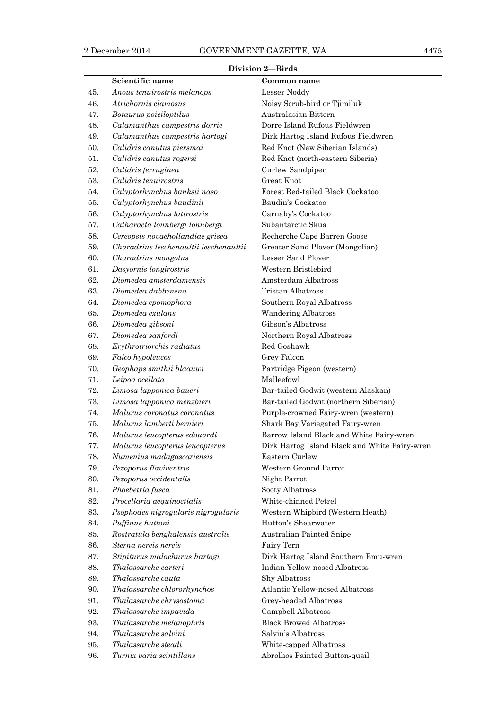### **Division 2—Birds**

|            | Scientific name                                           | Common name                                                     |
|------------|-----------------------------------------------------------|-----------------------------------------------------------------|
| 45.        | Anous tenuirostris melanops                               | Lesser Noddy                                                    |
| 46.        | Atrichornis clamosus                                      | Noisy Scrub-bird or Tjimiluk                                    |
| 47.        | Botaurus poiciloptilus                                    | Australasian Bittern                                            |
| 48.        | Calamanthus campestris dorrie                             | Dorre Island Rufous Fieldwren                                   |
| 49.        | Calamanthus campestris hartogi                            | Dirk Hartog Island Rufous Fieldwren                             |
| 50.        | Calidris canutus piersmai                                 | Red Knot (New Siberian Islands)                                 |
| 51.        | Calidris canutus rogersi                                  | Red Knot (north-eastern Siberia)                                |
| 52.        | Calidris ferruginea                                       | Curlew Sandpiper                                                |
| 53.        | Calidris tenuirostris                                     | Great Knot                                                      |
| 54.        | Calyptorhynchus banksii naso                              | Forest Red-tailed Black Cockatoo                                |
| 55.        | Calyptorhynchus baudinii                                  | Baudin's Cockatoo                                               |
| 56.        | Calyptorhynchus latirostris                               | Carnaby's Cockatoo                                              |
| 57.        | Catharacta lonnbergi lonnbergi                            | Subantarctic Skua                                               |
| 58.        | Cereopsis novaehollandiae grisea                          | Recherche Cape Barren Goose                                     |
| 59.        | Charadrius leschenaultii leschenaultii                    | Greater Sand Plover (Mongolian)                                 |
| 60.        | Charadrius mongolus                                       | Lesser Sand Plover                                              |
| 61.        | Dasyornis longirostris                                    | Western Bristlebird                                             |
| 62.        | Diomedea amsterdamensis                                   | Amsterdam Albatross                                             |
| 63.        | Diomedea dabbenena                                        | <b>Tristan Albatross</b>                                        |
| 64.        | Diomedea epomophora                                       | Southern Royal Albatross                                        |
| 65.        | Diomedea exulans                                          | <b>Wandering Albatross</b>                                      |
| 66.        | Diomedea gibsoni                                          | Gibson's Albatross                                              |
| 67.        | Diomedea sanfordi                                         | Northern Royal Albatross                                        |
| 68.        | Erythrotriorchis radiatus                                 | Red Goshawk                                                     |
| 69.        | Falco hypoleucos                                          | Grey Falcon                                                     |
| 70.        | Geophaps smithii blaauwi                                  | Partridge Pigeon (western)                                      |
| 71.        | Leipoa ocellata                                           | Malleefowl                                                      |
| 72.        | Limosa lapponica baueri                                   | Bar-tailed Godwit (western Alaskan)                             |
| 73.        | Limosa lapponica menzbieri                                | Bar-tailed Godwit (northern Siberian)                           |
| 74.        | Malurus coronatus coronatus                               | Purple-crowned Fairy-wren (western)                             |
| 75.        | Malurus lamberti bernieri                                 | Shark Bay Variegated Fairy-wren                                 |
| 76.        | Malurus leucopterus edouardi                              | Barrow Island Black and White Fairy-wren                        |
| 77.        | Malurus leucopterus leucopterus                           | Dirk Hartog Island Black and White Fairy-wren                   |
| 78.        | Numenius madagascariensis                                 | Eastern Curlew                                                  |
| 79.        | Pezoporus flaviventris                                    | Western Ground Parrot                                           |
| 80.        | Pezoporus occidentalis                                    | Night Parrot                                                    |
| 81.        | Phoebetria fusca                                          | Sooty Albatross                                                 |
| 82.        | Procellaria aequinoctialis                                | White-chinned Petrel                                            |
| 83.        | Psophodes nigrogularis nigrogularis                       | Western Whipbird (Western Heath)                                |
| 84.        | Puffinus huttoni                                          | Hutton's Shearwater                                             |
| 85.        | Rostratula benghalensis australis<br>Sterna nereis nereis | Australian Painted Snipe                                        |
| 86.        |                                                           | Fairy Tern                                                      |
| 87.        | Stipiturus malachurus hartogi                             | Dirk Hartog Island Southern Emu-wren                            |
| 88.<br>89. | Thalassarche carteri<br>Thalassarche cauta                | Indian Yellow-nosed Albatross<br>Shy Albatross                  |
|            |                                                           |                                                                 |
| 90.<br>91. | Thalassarche chlororhynchos                               | <b>Atlantic Yellow-nosed Albatross</b><br>Grey-headed Albatross |
| 92.        | Thalassarche chrysostoma                                  |                                                                 |
| 93.        | Thalassarche impavida<br>Thalassarche melanophris         | Campbell Albatross<br><b>Black Browed Albatross</b>             |
| 94.        |                                                           |                                                                 |
|            |                                                           |                                                                 |
| 95.        | Thalassarche salvini<br>Thalassarche steadi               | Salvin's Albatross<br>White-capped Albatross                    |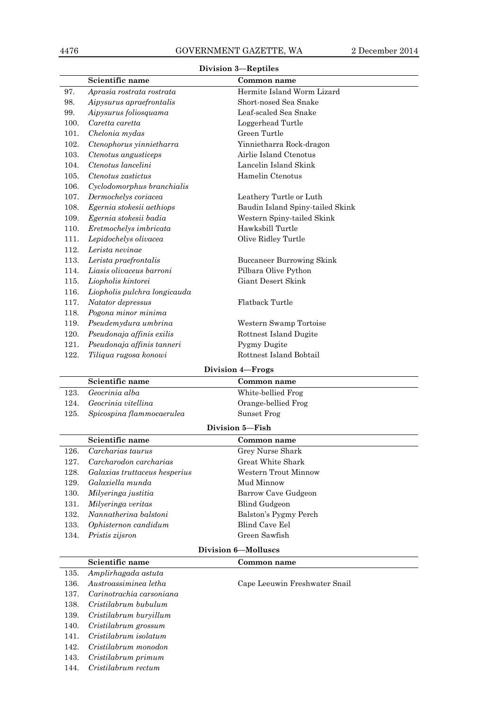|                  | nnvision o.<br>—перицез       |                                  |  |
|------------------|-------------------------------|----------------------------------|--|
|                  | Scientific name               | Common name                      |  |
| 97.              | Aprasia rostrata rostrata     | Hermite Island Worm Lizard       |  |
| 98.              | Aipysurus apraefrontalis      | Short-nosed Sea Snake            |  |
| 99.              | Aipysurus foliosquama         | Leaf-scaled Sea Snake            |  |
| 100.             | Caretta caretta               | Loggerhead Turtle                |  |
| 101.             | Chelonia mydas                | Green Turtle                     |  |
| 102.             | Ctenophorus yinnietharra      | Yinnietharra Rock-dragon         |  |
| 103.             | Ctenotus angusticeps          | Airlie Island Ctenotus           |  |
| 104.             | Ctenotus lancelini            | Lancelin Island Skink            |  |
| 105.             | Ctenotus zastictus            | Hamelin Ctenotus                 |  |
| 106.             | Cyclodomorphus branchialis    |                                  |  |
| 107.             | Dermochelys coriacea          | Leathery Turtle or Luth          |  |
| 108.             | Egernia stokesii aethiops     | Baudin Island Spiny-tailed Skink |  |
| 109.             | Egernia stokesii badia        | Western Spiny-tailed Skink       |  |
| 110.             | Eretmochelys imbricata        | Hawksbill Turtle                 |  |
| 111.             | Lepidochelys olivacea         | Olive Ridley Turtle              |  |
| 112.             | Lerista nevinae               |                                  |  |
| 113.             | Lerista praefrontalis         | <b>Buccaneer Burrowing Skink</b> |  |
| 114.             | Liasis olivaceus barroni      | Pilbara Olive Python             |  |
| 115.             | Liopholis kintorei            | Giant Desert Skink               |  |
| 116.             | Liopholis pulchra longicauda  |                                  |  |
| 117.             | Natator depressus             | <b>Flatback Turtle</b>           |  |
| 118.             | Pogona minor minima           |                                  |  |
| 119.             | Pseudemydura umbrina          | Western Swamp Tortoise           |  |
| 120.             | Pseudonaja affinis exilis     | Rottnest Island Dugite           |  |
| 121.             | Pseudonaja affinis tanneri    | Pygmy Dugite                     |  |
| 122.             | Tiliqua rugosa konowi         | Rottnest Island Bobtail          |  |
| Division 4-Frogs |                               |                                  |  |
|                  |                               |                                  |  |
|                  |                               |                                  |  |
|                  | Scientific name               | Common name                      |  |
| 123.             | Geocrinia alba                | White-bellied Frog               |  |
| 124.             | Geocrinia vitellina           | Orange-bellied Frog              |  |
| 125.             | Spicospina flammocaerulea     | Sunset Frog                      |  |
|                  |                               | Division 5-Fish                  |  |
|                  | Scientific name               | Common name                      |  |
| 126.             | Carcharias taurus             | Grey Nurse Shark                 |  |
| 127.             | Carcharodon carcharias        | Great White Shark                |  |
| 128.             | Galaxias truttaceus hesperius | Western Trout Minnow             |  |
| 129.             | Galaxiella munda              | Mud Minnow                       |  |
| 130.             | Milyeringa justitia           | Barrow Cave Gudgeon              |  |
| 131.             | Milyeringa veritas            | <b>Blind Gudgeon</b>             |  |
| 132.             | Nannatherina balstoni         | Balston's Pygmy Perch            |  |
| 133.             | Ophisternon candidum          | <b>Blind Cave Eel</b>            |  |
| 134.             | Pristis zijsron               | Green Sawfish                    |  |
|                  |                               | <b>Division 6-Molluscs</b>       |  |
|                  | Scientific name               | Common name                      |  |
| 135.             | Amplirhagada astuta           |                                  |  |
| 136.             | Austroassiminea letha         | Cape Leeuwin Freshwater Snail    |  |
| 137.             | Carinotrachia carsoniana      |                                  |  |
| 138.             | Cristilabrum bubulum          |                                  |  |
| 139.             | Cristilabrum buryillum        |                                  |  |
| 140.             | Cristilabrum grossum          |                                  |  |
| 141.             | Cristilabrum isolatum         |                                  |  |

### **Division 3—Reptiles**

143. *Cristilabrum primum* 144. *Cristilabrum rectum*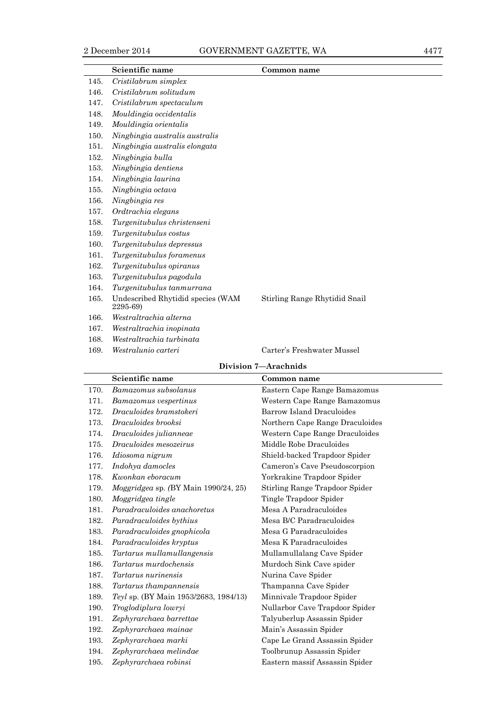|      | Scientific name                               | Common name                   |
|------|-----------------------------------------------|-------------------------------|
| 145. | Cristilabrum simplex                          |                               |
| 146. | Cristilabrum solitudum                        |                               |
| 147. | Cristilabrum spectaculum                      |                               |
| 148. | Mouldingia occidentalis                       |                               |
| 149. | Mouldingia orientalis                         |                               |
| 150. | Ningbingia australis australis                |                               |
| 151. | Ningbingia australis elongata                 |                               |
| 152. | Ningbingia bulla                              |                               |
| 153. | Ningbingia dentiens                           |                               |
| 154. | Ningbingia laurina                            |                               |
| 155. | Ningbingia octava                             |                               |
| 156. | Ningbingia res                                |                               |
| 157. | Ordtrachia elegans                            |                               |
| 158. | Turgenitubulus christenseni                   |                               |
| 159. | Turgenitubulus costus                         |                               |
| 160. | Turgenitubulus depressus                      |                               |
| 161. | Turgenitubulus foramenus                      |                               |
| 162. | Turgenitubulus opiranus                       |                               |
| 163. | Turgenitubulus pagodula                       |                               |
| 164. | Turgenitubulus tanmurrana                     |                               |
| 165. | Undescribed Rhytidid species (WAM<br>2295-69) | Stirling Range Rhytidid Snail |
| 166. | Westraltrachia alterna                        |                               |
| 167. | Westraltrachia inopinata                      |                               |
| 168. | Westraltrachia turbinata                      |                               |
| 169. | Westralunio carteri                           | Carter's Freshwater Mussel    |

### **Division 7—Arachnids**

|      | Scientific name                              | Common name                     |
|------|----------------------------------------------|---------------------------------|
| 170. | Bamazomus subsolanus                         | Eastern Cape Range Bamazomus    |
| 171. | Bamazomus vespertinus                        | Western Cape Range Bamazomus    |
| 172. | Draculoides bramstokeri                      | Barrow Island Draculoides       |
| 173. | Draculoides brooksi                          | Northern Cape Range Draculoides |
| 174. | Draculoides julianneae                       | Western Cape Range Draculoides  |
| 175. | Draculoides mesozeirus                       | Middle Robe Draculoides         |
| 176. | Idiosoma nigrum                              | Shield-backed Trapdoor Spider   |
| 177. | Indohya damocles                             | Cameron's Cave Pseudoscorpion   |
| 178. | Kwonkan eboracum                             | Yorkrakine Trapdoor Spider      |
| 179. | Moggridgea sp. (BY Main 1990/24, 25)         | Stirling Range Trapdoor Spider  |
| 180. | Moggridgea tingle                            | Tingle Trapdoor Spider          |
| 181. | Paradraculoides anachoretus                  | Mesa A Paradraculoides          |
| 182. | Paradraculoides bythius                      | Mesa B/C Paradraculoides        |
| 183. | Paradraculoides gnophicola                   | Mesa G Paradraculoides          |
| 184. | Paradraculoides kryptus                      | Mesa K Paradraculoides          |
| 185. | Tartarus mullamullangensis                   | Mullamullalang Cave Spider      |
| 186. | Tartarus murdochensis                        | Murdoch Sink Cave spider        |
| 187. | Tartarus nurinensis                          | Nurina Cave Spider              |
| 188. | Tartarus thampannensis                       | Thampanna Cave Spider           |
| 189. | <i>Teyl</i> sp. (BY Main 1953/2683, 1984/13) | Minnivale Trapdoor Spider       |
| 190. | Troglodiplura lowryi                         | Nullarbor Cave Trapdoor Spider  |
| 191. | Zephyrarchaea barrettae                      | Talyuberlup Assassin Spider     |
| 192. | Zephyrarchaea mainae                         | Main's Assassin Spider          |
| 193. | Zephyrarchaea marki                          | Cape Le Grand Assassin Spider   |
| 194. | Zephyrarchaea melindae                       | Toolbrunup Assassin Spider      |
| 195. | Zephyrarchaea robinsi                        | Eastern massif Assassin Spider  |
|      |                                              |                                 |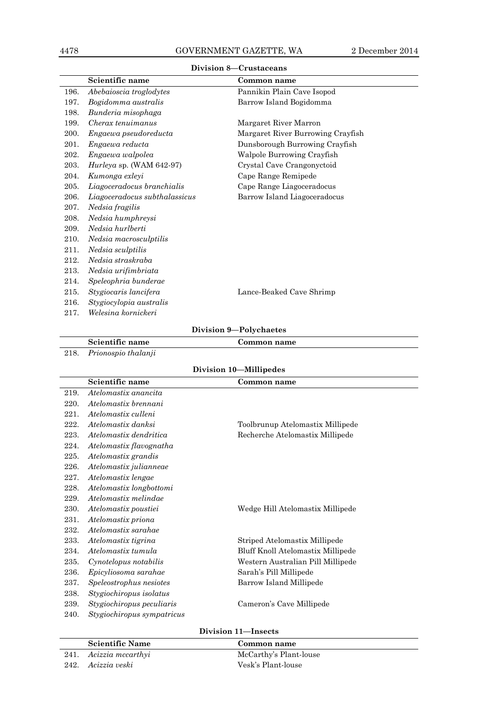|      | Scientific name               | Common name                       |
|------|-------------------------------|-----------------------------------|
| 196. | Abebaioscia troglodytes       | Pannikin Plain Cave Isopod        |
| 197. | Bogidomma australis           | Barrow Island Bogidomma           |
| 198. | Bunderia misophaga            |                                   |
| 199. | Cherax tenuimanus             | Margaret River Marron             |
| 200. | Engaewa pseudoreducta         | Margaret River Burrowing Crayfish |
| 201. | Engaewa reducta               | Dunsborough Burrowing Crayfish    |
| 202. | Engaewa walpolea              | Walpole Burrowing Crayfish        |
| 203. | Hurleya sp. (WAM $642-97$ )   | Crystal Cave Crangonyctoid        |
| 204. | Kumonga exleyi                | Cape Range Remipede               |
| 205. | Liagoceradocus branchialis    | Cape Range Liagoceradocus         |
| 206. | Liagoceradocus subthalassicus | Barrow Island Liagoceradocus      |
| 207. | Nedsia fragilis               |                                   |
| 208. | Nedsia humphreysi             |                                   |
| 209. | Nedsia hurlberti              |                                   |
| 210. | Nedsia macrosculptilis        |                                   |
| 211. | Nedsia sculptilis             |                                   |
| 212. | Nedsia straskraba             |                                   |
| 213. | Nedsia urifimbriata           |                                   |
| 214. | Speleophria bunderae          |                                   |
| 215. | Stygiocaris lancifera         | Lance-Beaked Cave Shrimp          |
| 216. | Stygiocylopia australis       |                                   |
| 217. | Welesina kornickeri           |                                   |

### **Division 8—Crustaceans**

### **Division 9—Polychaetes**

### **Scientific name Common name** 218. *Prionospio thalanji* **Division 10—Millipedes Scientific name Common name** 219. *Atelomastix anancita* 220. *Atelomastix brennani*

| 220. | Atelomastix brennani       |                                   |
|------|----------------------------|-----------------------------------|
| 221. | Atelomastix culleni        |                                   |
| 222. | Atelomastix danksi         | Toolbrunup Atelomastix Millipede  |
| 223. | Atelomastix dendritica     | Recherche Atelomastix Millipede   |
| 224. | Atelomastix flavognatha    |                                   |
| 225. | Atelomastix grandis        |                                   |
| 226. | Atelomastix julianneae     |                                   |
| 227. | Atelomastix lengae         |                                   |
| 228. | Atelomastix longbottomi    |                                   |
| 229. | Atelomastix melindae       |                                   |
| 230. | Atelomastix poustiei       | Wedge Hill Atelomastix Millipede  |
| 231. | Atelomastix priona         |                                   |
| 232. | Atelomastix sarahae        |                                   |
| 233. | Atelomastix tigrina        | Striped Atelomastix Millipede     |
| 234. | Atelomastix tumula         | Bluff Knoll Atelomastix Millipede |
| 235. | Cynotelopus notabilis      | Western Australian Pill Millipede |
| 236. | Epicyliosoma sarahae       | Sarah's Pill Millipede            |
| 237. | Speleostrophus nesiotes    | Barrow Island Millipede           |
| 238. | Stygiochiropus isolatus    |                                   |
| 239. | Stygiochiropus peculiaris  | Cameron's Cave Millipede          |
| 240. | Stygiochiropus sympatricus |                                   |
|      |                            |                                   |

### **Division 11—Insects**

| <b>Scientific Name</b> | Common name            |
|------------------------|------------------------|
| 241. Acizzia mccarthyi | McCarthy's Plant-louse |
| 242. Acizzia veski     | Vesk's Plant-louse     |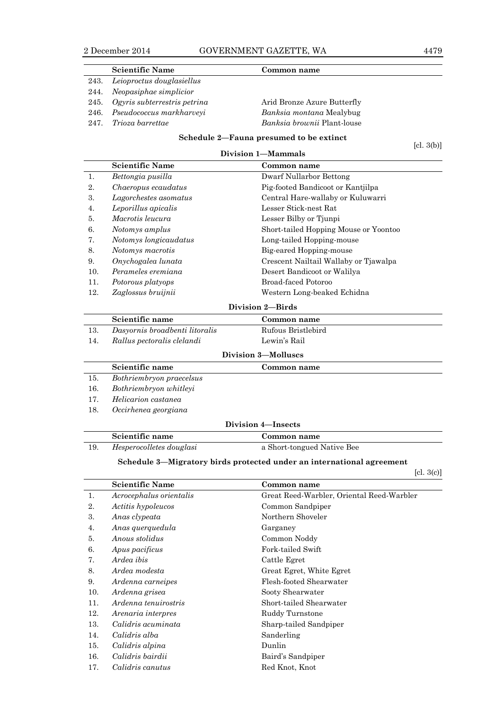|      | <b>Scientific Name</b>            | Common name                        |
|------|-----------------------------------|------------------------------------|
|      | 243. Leioproctus douglasiellus    |                                    |
| 244. | Neopasiphae simplicior            |                                    |
|      | 245. Ogyris subterrestris petrina | Arid Bronze Azure Butterfly        |
|      | 246. Pseudococcus markharveyi     | <i>Banksia montana</i> Mealybug    |
| 247. | Trioza barrettae                  | <i>Banksia brownii</i> Plant-louse |

**Schedule 2—Fauna presumed to be extinct Division 1—Mammals**

[cl. 3(b)]

|     | <b>Scientific Name</b> | Common name                           |
|-----|------------------------|---------------------------------------|
|     | Bettongia pusilla      | Dwarf Nullarbor Bettong               |
| 2.  | Chaeropus ecaudatus    | Pig-footed Bandicoot or Kantjilpa     |
| 3.  | Lagorchestes asomatus  | Central Hare-wallaby or Kuluwarri     |
| 4.  | Leporillus apicalis    | Lesser Stick-nest Rat                 |
| 5.  | Macrotis leucura       | Lesser Bilby or Tiunpi                |
| 6.  | Notomys amplus         | Short-tailed Hopping Mouse or Yoontoo |
| 7.  | Notomys longicaudatus  | Long-tailed Hopping-mouse             |
| 8.  | Notomys macrotis       | Big-eared Hopping-mouse               |
| 9.  | Onychogalea lunata     | Crescent Nailtail Wallaby or Tjawalpa |
| 10. | Perameles eremiana     | Desert Bandicoot or Walilya           |
| 11. | Potorous platyops      | Broad-faced Potoroo                   |
| 12. | Zaglossus bruijnii     | Western Long-beaked Echidna           |
|     |                        |                                       |

### **Division 2—Birds**

| Scientific name                | Common name        |  |
|--------------------------------|--------------------|--|
| Dasyornis broadbenti litoralis | Rufous Bristlebird |  |
| Rallus pectoralis clelandi     | Lewin's Rail       |  |
|                                |                    |  |

### **Division 3—Molluscs**

|     | Scientific name          | Common name |  |
|-----|--------------------------|-------------|--|
| 15. | Bothriembryon praecelsus |             |  |
| 16. | Bothriembryon whitleyi   |             |  |
| 17. | Helicarion castanea      |             |  |
| 18. | Occirhenea georgiana     |             |  |

### **Division 4—Insects**

| Scientific name          | Common name                |  |
|--------------------------|----------------------------|--|
| Hesperocolletes douglasi | a Short-tongued Native Bee |  |

### **Schedule 3—Migratory birds protected under an international agreement**

[cl. 3(c)]

|     | <b>Scientific Name</b>  | Common name                               |
|-----|-------------------------|-------------------------------------------|
| 1.  | Acrocephalus orientalis | Great Reed-Warbler, Oriental Reed-Warbler |
| 2.  | Actitis hypoleucos      | Common Sandpiper                          |
| 3.  | Anas clypeata           | Northern Shoveler                         |
| 4.  | Anas querquedula        | Garganey                                  |
| 5.  | Anous stolidus          | Common Noddy                              |
| 6.  | Apus pacificus          | Fork-tailed Swift                         |
| 7.  | Ardea ibis              | Cattle Egret                              |
| 8.  | Ardea modesta           | Great Egret, White Egret                  |
| 9.  | Ardenna carneipes       | Flesh-footed Shearwater                   |
| 10. | Ardenna grisea          | Sooty Shearwater                          |
| 11. | Ardenna tenuirostris    | Short-tailed Shearwater                   |
| 12. | Arenaria interpres      | Ruddy Turnstone                           |
| 13. | Calidris acuminata      | Sharp-tailed Sandpiper                    |
| 14. | Calidris alba           | Sanderling                                |
| 15. | Calidris alpina         | Dunlin                                    |
| 16. | Calidris bairdii        | Baird's Sandpiper                         |
| 17. | Calidris canutus        | Red Knot, Knot                            |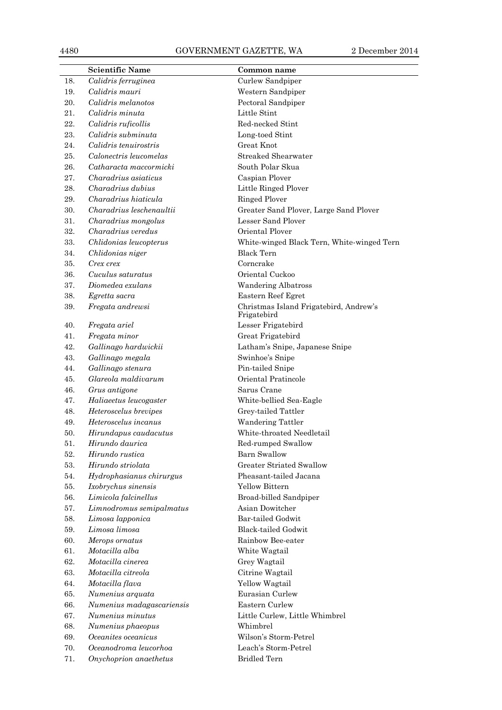### 4480 GOVERNMENT GAZETTE, WA 2 December 2014

|     | <b>Scientific Name</b>    | Common name                                           |  |
|-----|---------------------------|-------------------------------------------------------|--|
| 18. | Calidris ferruginea       | Curlew Sandpiper                                      |  |
| 19. | Calidris mauri            | Western Sandpiper                                     |  |
| 20. | Calidris melanotos        | Pectoral Sandpiper                                    |  |
| 21. | Calidris minuta           | Little Stint                                          |  |
| 22. | Calidris ruficollis       | Red-necked Stint                                      |  |
| 23. | Calidris subminuta        | Long-toed Stint                                       |  |
| 24. | Calidris tenuirostris     | <b>Great Knot</b>                                     |  |
| 25. | Calonectris leucomelas    | Streaked Shearwater                                   |  |
| 26. | Catharacta maccormicki    | South Polar Skua                                      |  |
| 27. | Charadrius asiaticus      | Caspian Plover                                        |  |
| 28. | Charadrius dubius         | Little Ringed Plover                                  |  |
| 29. | Charadrius hiaticula      | <b>Ringed Plover</b>                                  |  |
| 30. | Charadrius leschenaultii  | Greater Sand Plover, Large Sand Plover                |  |
| 31. | Charadrius mongolus       | Lesser Sand Plover                                    |  |
| 32. | Charadrius veredus        | Oriental Plover                                       |  |
| 33. | Chlidonias leucopterus    | White-winged Black Tern, White-winged Tern            |  |
| 34. | Chlidonias niger          | <b>Black Tern</b>                                     |  |
| 35. | Crex crex                 | Corncrake                                             |  |
| 36. | Cuculus saturatus         | Oriental Cuckoo                                       |  |
| 37. | Diomedea exulans          | <b>Wandering Albatross</b>                            |  |
| 38. | Egretta sacra             | Eastern Reef Egret                                    |  |
| 39. | Fregata andrewsi          | Christmas Island Frigatebird, Andrew's<br>Frigatebird |  |
| 40. | Fregata ariel             | Lesser Frigatebird                                    |  |
| 41. | Fregata minor             | Great Frigatebird                                     |  |
| 42. | Gallinago hardwickii      | Latham's Snipe, Japanese Snipe                        |  |
| 43. | Gallinago megala          | Swinhoe's Snipe                                       |  |
| 44. | Gallinago stenura         | Pin-tailed Snipe                                      |  |
| 45. | Glareola maldivarum       | Oriental Pratincole                                   |  |
| 46. | Grus antigone             | Sarus Crane                                           |  |
| 47. | Haliaeetus leucogaster    | White-bellied Sea-Eagle                               |  |
| 48. | Heteroscelus brevipes     | Grey-tailed Tattler                                   |  |
| 49. | Heteroscelus incanus      | Wandering Tattler                                     |  |
| 50. | Hirundapus caudacutus     | White-throated Needletail                             |  |
| 51. | Hirundo daurica           | Red-rumped Swallow                                    |  |
| 52. | Hirundo rustica           | <b>Barn Swallow</b>                                   |  |
| 53. | Hirundo striolata         | <b>Greater Striated Swallow</b>                       |  |
| 54. | Hydrophasianus chirurgus  | Pheasant-tailed Jacana                                |  |
| 55. | Ixobrychus sinensis       | Yellow Bittern                                        |  |
| 56. | Limicola falcinellus      | Broad-billed Sandpiper                                |  |
| 57. | Limnodromus semipalmatus  | Asian Dowitcher                                       |  |
| 58. | Limosa lapponica          | <b>Bar-tailed Godwit</b>                              |  |
| 59. | Limosa limosa             | <b>Black-tailed Godwit</b>                            |  |
| 60. | Merops ornatus            | Rainbow Bee-eater                                     |  |
| 61. | Motacilla alba            | White Wagtail                                         |  |
| 62. | Motacilla cinerea         | Grey Wagtail                                          |  |
| 63. | Motacilla citreola        | Citrine Wagtail                                       |  |
| 64. | Motacilla flava           | Yellow Wagtail                                        |  |
| 65. | Numenius arquata          | Eurasian Curlew                                       |  |
| 66. | Numenius madagascariensis | Eastern Curlew                                        |  |
| 67. | Numenius minutus          | Little Curlew, Little Whimbrel                        |  |
| 68. | Numenius phaeopus         | Whimbrel                                              |  |
| 69. | Oceanites oceanicus       | Wilson's Storm-Petrel                                 |  |
| 70. | Oceanodroma leucorhoa     | Leach's Storm-Petrel                                  |  |
| 71. | Onychoprion anaethetus    | <b>Bridled Tern</b>                                   |  |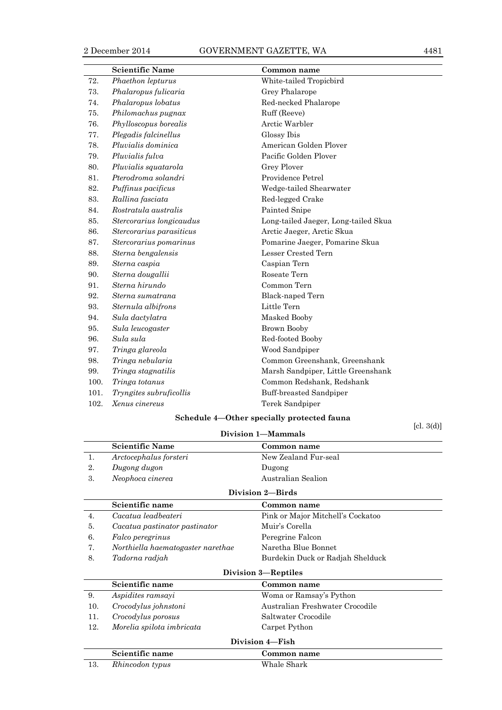|      | <b>Scientific Name</b>   | Common name                          |  |
|------|--------------------------|--------------------------------------|--|
| 72.  | Phaethon lepturus        | White-tailed Tropicbird              |  |
| 73.  | Phalaropus fulicaria     | Grey Phalarope                       |  |
| 74.  | Phalaropus lobatus       | Red-necked Phalarope                 |  |
| 75.  | Philomachus pugnax       | Ruff (Reeve)                         |  |
| 76.  | Phylloscopus borealis    | Arctic Warbler                       |  |
| 77.  | Plegadis falcinellus     | Glossy Ibis                          |  |
| 78.  | Pluvialis dominica       | American Golden Plover               |  |
| 79.  | Pluvialis fulva          | Pacific Golden Plover                |  |
| 80.  | Pluvialis squatarola     | Grey Plover                          |  |
| 81.  | Pterodroma solandri      | Providence Petrel                    |  |
| 82.  | Puffinus pacificus       | Wedge-tailed Shearwater              |  |
| 83.  | Rallina fasciata         | Red-legged Crake                     |  |
| 84.  | Rostratula australis     | Painted Snipe                        |  |
| 85.  | Stercorarius longicaudus | Long-tailed Jaeger, Long-tailed Skua |  |
| 86.  | Stercorarius parasiticus | Arctic Jaeger, Arctic Skua           |  |
| 87.  | Stercorarius pomarinus   | Pomarine Jaeger, Pomarine Skua       |  |
| 88.  | Sterna bengalensis       | Lesser Crested Tern                  |  |
| 89.  | Sterna caspia            | Caspian Tern                         |  |
| 90.  | Sterna dougallii         | Roseate Tern                         |  |
| 91.  | Sterna hirundo           | Common Tern                          |  |
| 92.  | Sterna sumatrana         | Black-naped Tern                     |  |
| 93.  | Sternula albifrons       | Little Tern                          |  |
| 94.  | Sula dactylatra          | Masked Booby                         |  |
| 95.  | Sula leucogaster         | Brown Booby                          |  |
| 96.  | Sula sula                | Red-footed Booby                     |  |
| 97.  | Tringa glareola          | Wood Sandpiper                       |  |
| 98.  | Tringa nebularia         | Common Greenshank, Greenshank        |  |
| 99.  | Tringa stagnatilis       | Marsh Sandpiper, Little Greenshank   |  |
| 100. | Tringa totanus           | Common Redshank, Redshank            |  |
| 101. | Tryngites subruficollis  | <b>Buff-breasted Sandpiper</b>       |  |
| 102. | Xenus cinereus           | Terek Sandpiper                      |  |

### **Schedule 4—Other specially protected fauna**

[cl. 3(d)]

| $1 - 1 - 1$<br>Division 1-Mammals |                                       |                                   |  |  |  |
|-----------------------------------|---------------------------------------|-----------------------------------|--|--|--|
|                                   | <b>Scientific Name</b><br>Common name |                                   |  |  |  |
| 1.                                | Arctocephalus forsteri                | New Zealand Fur-seal              |  |  |  |
| 2.                                | Dugong dugon                          | Dugong                            |  |  |  |
| 3.                                | Neophoca cinerea                      | Australian Sealion                |  |  |  |
| Division 2-Birds                  |                                       |                                   |  |  |  |
|                                   | Scientific name                       | Common name                       |  |  |  |
| 4.                                | Cacatua leadbeateri                   | Pink or Major Mitchell's Cockatoo |  |  |  |
| 5.                                | Cacatua pastinator pastinator         | Muir's Corella                    |  |  |  |
| 6.                                | <i>Falco peregrinus</i>               | Peregrine Falcon                  |  |  |  |
| 7.                                | Northiella haematogaster narethae     | Naretha Blue Bonnet               |  |  |  |
| 8.                                | Tadorna radjah                        | Burdekin Duck or Radjah Shelduck  |  |  |  |
| <b>Division 3-Reptiles</b>        |                                       |                                   |  |  |  |
|                                   | Scientific name                       | Common name                       |  |  |  |

| 9.              | Aspidites ramsayi         | Woma or Ramsay's Python         |
|-----------------|---------------------------|---------------------------------|
| 10.             | Crocodylus johnstoni      | Australian Freshwater Crocodile |
|                 | Crocodylus porosus        | Saltwater Crocodile             |
| 12.             | Morelia spilota imbricata | Carpet Python                   |
| Division 4–Fish |                           |                                 |
|                 | Scientific name           | ിവസസ്ഥ നടന്നല                   |

|     | Scientific name | Common name |
|-----|-----------------|-------------|
| 13. | Rhincodon typus | Whale Shark |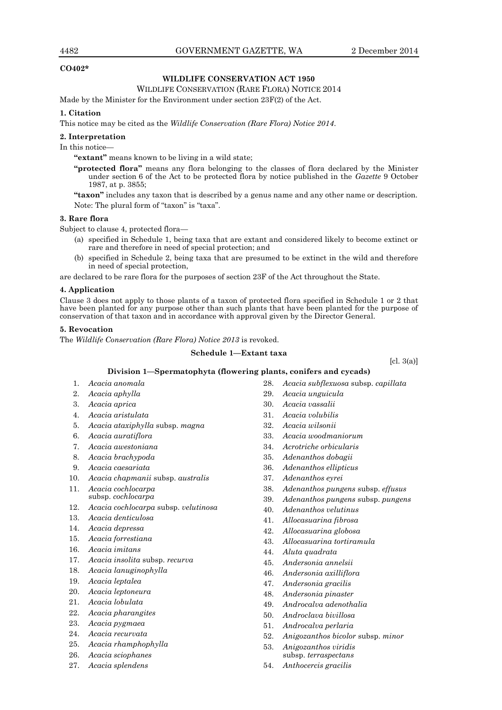### **CO402\***

### **WILDLIFE CONSERVATION ACT 1950**

### WILDLIFE CONSERVATION (RARE FLORA) NOTICE 2014

Made by the Minister for the Environment under section 23F(2) of the Act.

#### **1. Citation**

This notice may be cited as the *Wildlife Conservation (Rare Flora) Notice 2014*.

#### **2. Interpretation**

In this notice—

**"extant"** means known to be living in a wild state;

**"protected flora"** means any flora belonging to the classes of flora declared by the Minister under section 6 of the Act to be protected flora by notice published in the *Gazette* 9 October 1987, at p. 3855;

**"taxon"** includes any taxon that is described by a genus name and any other name or description. Note: The plural form of "taxon" is "taxa".

### **3. Rare flora**

Subject to clause 4, protected flora—

- (a) specified in Schedule 1, being taxa that are extant and considered likely to become extinct or rare and therefore in need of special protection; and
- (b) specified in Schedule 2, being taxa that are presumed to be extinct in the wild and therefore in need of special protection,

are declared to be rare flora for the purposes of section 23F of the Act throughout the State.

### **4. Application**

Clause 3 does not apply to those plants of a taxon of protected flora specified in Schedule 1 or 2 that have been planted for any purpose other than such plants that have been planted for the purpose of conservation of that taxon and in accordance with approval given by the Director General.

### **5. Revocation**

The *Wildlife Conservation (Rare Flora) Notice 2013* is revoked.

#### **Schedule 1—Extant taxa**

 $\lbrack$ cl. 3(a) $\rbrack$ 

### **Division 1—Spermatophyta (flowering plants, conifers and cycads)**

- 1. *Acacia anomala*
- 2. *Acacia aphylla*
- 3. *Acacia aprica*
- 4. *Acacia aristulata*
- 5. *Acacia ataxiphylla* subsp. *magna*
- 6. *Acacia auratiflora*
- 7. *Acacia awestoniana*
- 8. *Acacia brachypoda*
- 9. *Acacia caesariata*
- 10. *Acacia chapmanii* subsp. *australis*
- 11. *Acacia cochlocarpa*  subsp. *cochlocarpa*
- 12. *Acacia cochlocarpa* subsp. *velutinosa*
- 13. *Acacia denticulosa*
- 14. *Acacia depressa*
- 15. *Acacia forrestiana*
- 16. *Acacia imitans*
- 17. *Acacia insolita* subsp. *recurva*
- 18. *Acacia lanuginophylla*
- 19. *Acacia leptalea*
- 20. *Acacia leptoneura*
- 21. *Acacia lobulata*
- 22. *Acacia pharangites*
- 23. *Acacia pygmaea*
- 24. *Acacia recurvata*
- 25. *Acacia rhamphophylla*
- 26. *Acacia sciophanes*
- 27. *Acacia splendens*
- 28. *Acacia subflexuosa* subsp. *capillata*
- 29. *Acacia unguicula*
- 30. *Acacia vassalii*
- 31. *Acacia volubilis*
- 32. *Acacia wilsonii*
- 33. *Acacia woodmaniorum*
- 34. *Acrotriche orbicularis*
- 35. *Adenanthos dobagii*
- 36. *Adenanthos ellipticus*
- 37. *Adenanthos eyrei*
- 38. *Adenanthos pungens* subsp. *effusus*
- 39. *Adenanthos pungens* subsp. *pungens*
- 40. *Adenanthos velutinus*
- 41. *Allocasuarina fibrosa*
- 42. *Allocasuarina globosa*
- 43. *Allocasuarina tortiramula*
- 44. *Aluta quadrata*
- 45. *Andersonia annelsii*
- 46. *Andersonia axilliflora*
- 47. *Andersonia gracilis*
- 48. *Andersonia pinaster*
- 49. *Androcalva adenothalia*
- 50. *Androclava bivillosa*
- 51. *Androcalva perlaria*
- 52. *Anigozanthos bicolor* subsp. *minor*
- 53. *Anigozanthos viridis*  subsp. *terraspectans*
- 54. *Anthocercis gracilis*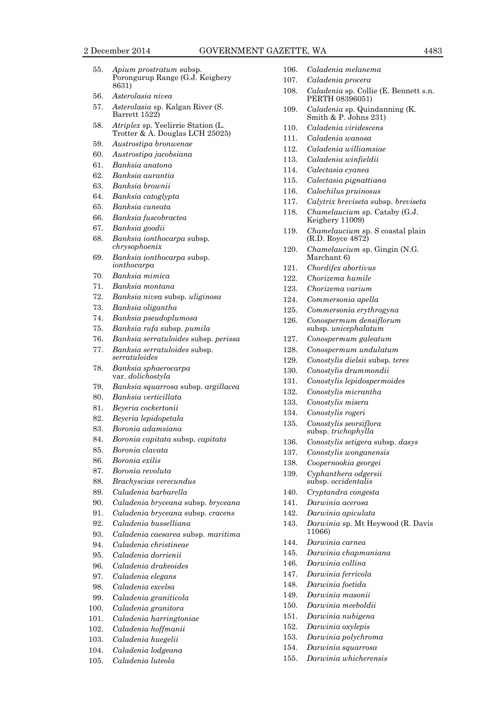- 55. *Apium prostratum* subsp. Porongurup Range (G.J. Keighery 8631)
- 56. *Asterolasia nivea*
- 57. *Asterolasia* sp. Kalgan River (S. Barrett 1522)
- 58. *Atriplex* sp. Yeelirrie Station (L. Trotter & A. Douglas LCH 25025)
- 59. *Austrostipa bronwenae*
- 60. *Austrostipa jacobsiana*
- 61. *Banksia anatona*
- 62. *Banksia aurantia*
- 63. *Banksia brownii*
- 64. *Banksia catoglypta*
- 65. *Banksia cuneata*
- 66. *Banksia fuscobractea*
- 67. *Banksia goodii*
- 68. *Banksia ionthocarpa* subsp. *chrysophoenix*
- 69. *Banksia ionthocarpa* subsp. *ionthocarpa*
- 70. *Banksia mimica*
- 71. *Banksia montana*
- 72. *Banksia nivea* subsp. *uliginosa*
- 73. *Banksia oligantha*
- 74. *Banksia pseudoplumosa*
- 75. *Banksia rufa* subsp. *pumila*
- 76. *Banksia serratuloides* subsp. *perissa*
- 77. *Banksia serratuloides* subsp. *serratuloides*
- 78. *Banksia sphaerocarpa*  var. *dolichostyla*
- 79. *Banksia squarrosa* subsp. *argillacea*
- 80. *Banksia verticillata*
- 81. *Beyeria cockertonii*
- 82. *Beyeria lepidopetala*
- 83. *Boronia adamsiana*
- 84. *Boronia capitata* subsp. *capitata*
- 85. *Boronia clavata*
- 86. *Boronia exilis*
- 87. *Boronia revoluta*
- 88. *Brachyscias verecundus*
- 89. *Caladenia barbarella*
- 90. *Caladenia bryceana* subsp. *bryceana*
- 91. *Caladenia bryceana* subsp. *cracens*
- 92. *Caladenia busselliana*
- 93. *Caladenia caesarea* subsp. *maritima*
- 94. *Caladenia christineae*
- 95. *Caladenia dorrienii*
- 96. *Caladenia drakeoides*
- 97. *Caladenia elegans*
- 98. *Caladenia excelsa*
- 99. *Caladenia graniticola*
- 100. *Caladenia granitora*
- 101. *Caladenia harringtoniae*
- 102. *Caladenia hoffmanii*
- 103. *Caladenia huegelii*
- 104. *Caladenia lodgeana*
- 105. *Caladenia luteola*
- 106. *Caladenia melanema*
- 107. *Caladenia procera*
- 108. *Caladenia* sp. Collie (E. Bennett s.n. PERTH 08396051)
- 109. *Caladenia* sp. Quindanning (K. Smith & P. Johns 231)
- 110. *Caladenia viridescens*
- 111. *Caladenia wanosa*
- 112. *Caladenia williamsiae*
- 113. *Caladenia winfieldii*
- 114. *Calectasia cyanea*
- 115. *Calectasia pignattiana*
- 116. *Calochilus pruinosus*
- 117. *Calytrix breviseta* subsp. *breviseta*
- 118. *Chamelaucium* sp. Cataby (G.J. Keighery 11009)
- 119. *Chamelaucium* sp. S coastal plain (R.D. Royce 4872)
- 120. *Chamelaucium* sp. Gingin (N.G. Marchant 6)
- 121. *Chordifex abortivus*
- 122. *Chorizema humile*
- 123. *Chorizema varium*
- 124. *Commersonia apella*
- 125. *Commersonia erythrogyna*
- 126. *Conospermum densiflorum*  subsp. *unicephalatum*
- 127. *Conospermum galeatum*
- 128. *Conospermum undulatum*
- 129. *Conostylis dielsii* subsp. *teres*
- 130. *Conostylis drummondii*
- 131. *Conostylis lepidospermoides*
- 132. *Conostylis micrantha*
- 133. *Conostylis misera*
- 134. *Conostylis rogeri*
- 135. *Conostylis seorsiflora*  subsp. *trichophylla*
- 136. *Conostylis setigera* subsp. *dasys*
- 137. *Conostylis wonganensis*
- 138. *Coopernookia georgei*
- 139. *Cyphanthera odgersii*  subsp. *occidentalis*
- 140. *Cryptandra congesta*
- 141. *Darwinia acerosa*
- 142. *Darwinia apiculata*
- 143. *Darwinia* sp. Mt Heywood (R. Davis 11066)
- 144. *Darwinia carnea*
- 145. *Darwinia chapmaniana*
- 146. *Darwinia collina*
- 147. *Darwinia ferricola*
- 148. *Darwinia foetida*
- 149. *Darwinia masonii*
- 150. *Darwinia meeboldii*
- 151. *Darwinia nubigena* 152. *Darwinia oxylepis*

153. *Darwinia polychroma* 154. *Darwinia squarrosa* 155. *Darwinia whicherensis*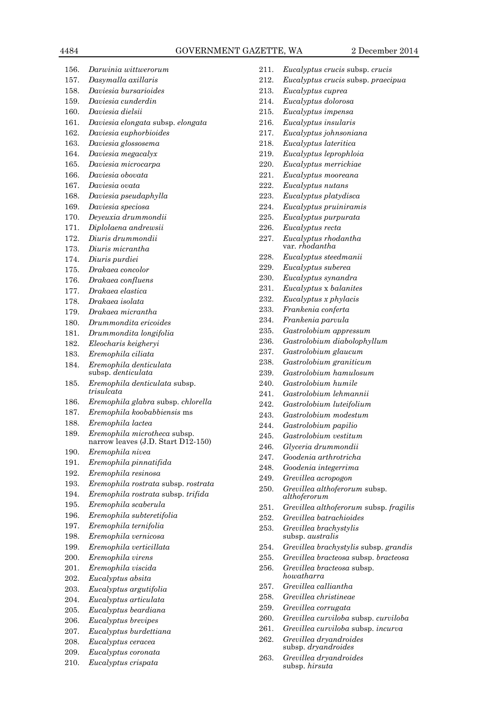- 156. *Darwinia wittwerorum* 157. *Dasymalla axillaris* 158. *Daviesia bursarioides* 159. *Daviesia cunderdin* 160. *Daviesia dielsii* 161. *Daviesia elongata* subsp. *elongata* 162. *Daviesia euphorbioides* 163. *Daviesia glossosema* 164. *Daviesia megacalyx* 165. *Daviesia microcarpa* 166. *Daviesia obovata* 167. *Daviesia ovata* 168. *Daviesia pseudaphylla* 169. *Daviesia speciosa* 170. *Deyeuxia drummondii* 171. *Diplolaena andrewsii* 172. *Diuris drummondii* 173. *Diuris micrantha* 174. *Diuris purdiei* 175. *Drakaea concolor* 176. *Drakaea confluens* 177. *Drakaea elastica* 178. *Drakaea isolata*  179. *Drakaea micrantha* 180. *Drummondita ericoides* 181. *Drummondita longifolia* 182. *Eleocharis keigheryi* 183. *Eremophila ciliata* 184. *Eremophila denticulata*  subsp. *denticulata* 185. *Eremophila denticulata* subsp. *trisulcata* 186. *Eremophila glabra* subsp. *chlorella* 187. *Eremophila koobabbiensis* ms 188. *Eremophila lactea* 189. *Eremophila microtheca* subsp. narrow leaves (J.D. Start D12-150) 190. *Eremophila nivea* 191. *Eremophila pinnatifida* 192. *Eremophila resinosa* 193. *Eremophila rostrata* subsp. *rostrata* 194. *Eremophila rostrata* subsp. *trifida* 195. *Eremophila scaberula* 196. *Eremophila subteretifolia* 197. *Eremophila ternifolia* 198. *Eremophila vernicosa* 199. *Eremophila verticillata* 200. *Eremophila virens* 201. *Eremophila viscida* 202. *Eucalyptus absita* 203. *Eucalyptus argutifolia* 204. *Eucalyptus articulata* 205. *Eucalyptus beardiana* 206. *Eucalyptus brevipes* 207. *Eucalyptus burdettiana*
	-
	- 208. *Eucalyptus ceracea*
	- 209. *Eucalyptus coronata*
	- 210. *Eucalyptus crispata*
- 211. *Eucalyptus crucis* subsp. *crucis*
- 212. *Eucalyptus crucis* subsp. *praecipua*
- 213. *Eucalyptus cuprea*
- 214. *Eucalyptus dolorosa*
- 215. *Eucalyptus impensa*
- 216. *Eucalyptus insularis*
- 217. *Eucalyptus johnsoniana*
- 218. *Eucalyptus lateritica*
- 219. *Eucalyptus leprophloia*
- 220. *Eucalyptus merrickiae*
- 221. *Eucalyptus mooreana*
- 222. *Eucalyptus nutans*
- 223. *Eucalyptus platydisca*
- 224. *Eucalyptus pruiniramis*
- 225. *Eucalyptus purpurata*
- 226. *Eucalyptus recta*
- 227. *Eucalyptus rhodantha*  var*. rhodantha*
- 228. *Eucalyptus steedmanii*
- 229. *Eucalyptus suberea*
- 230. *Eucalyptus synandra*
- 231. *Eucalyptus* x *balanites*
- 232. *Eucalyptus x phylacis*
- 233. *Frankenia conferta*
- 234. *Frankenia parvula*
- 235. *Gastrolobium appressum*
- 236. *Gastrolobium diabolophyllum*
- 237. *Gastrolobium glaucum*
- 238. *Gastrolobium graniticum*
- 239. *Gastrolobium hamulosum*
- 240. *Gastrolobium humile*
- 241. *Gastrolobium lehmannii*
- 242. *Gastrolobium luteifolium*
- 243. *Gastrolobium modestum*
- 244. *Gastrolobium papilio*
- 245. *Gastrolobium vestitum*
- 246. *Glyceria drummondii*
- 247. *Goodenia arthrotricha*
- 248. *Goodenia integerrima*
- 249. *Grevillea acropogon*
- 250. *Grevillea althoferorum* subsp. *althoferorum*
- 251. *Grevillea althoferorum* subsp. *fragilis*
- 252. *Grevillea batrachioides*
- 253. *Grevillea brachystylis*  subsp. *australis*
- 254. *Grevillea brachystylis* subsp. *grandis*
- 255. *Grevillea bracteosa* subsp. *bracteosa*
- 256. *Grevillea bracteosa* subsp. *howatharra*
- 257. *Grevillea calliantha*
- 258. *Grevillea christineae*
- 259. *Grevillea corrugata*
- 260. *Grevillea curviloba* subsp. *curviloba*
- 261. *Grevillea curviloba* subsp. *incurva*
- 262. *Grevillea dryandroides*  subsp. *dryandroides*
- 263. *Grevillea dryandroides*  subsp. *hirsuta*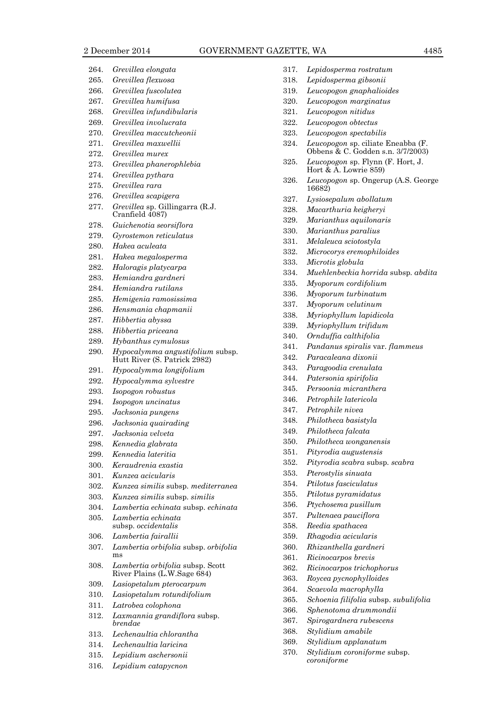|              | 2 December 2014                                                  | <b>GOVERN</b> |
|--------------|------------------------------------------------------------------|---------------|
|              |                                                                  |               |
| 264.         | Grevillea elongata                                               |               |
| 265.         | Grevillea flexuosa                                               |               |
| 266.         | Grevillea fuscolutea                                             |               |
| 267.         | Grevillea humifusa<br>Grevillea infundibularis                   |               |
| 268.<br>269. | Grevillea involucrata                                            |               |
| 270.         | Grevillea maccutcheonii                                          |               |
| 271.         | Grevillea maxwellii                                              |               |
| 272.         | Grevillea murex                                                  |               |
| 273.         | Grevillea phanerophlebia                                         |               |
| 274.         | Grevillea pythara                                                |               |
| 275.         | Grevillea rara                                                   |               |
| 276.         | Grevillea scapigera                                              |               |
| 277.         | Grevillea sp. Gillingarra (R.J.<br>Cranfield 4087)               |               |
| 278.         | Guichenotia seorsiflora                                          |               |
| 279.         | Gyrostemon reticulatus                                           |               |
| 280.         | Hakea aculeata                                                   |               |
| 281.         | Hakea megalosperma                                               |               |
| 282.         | Haloragis platycarpa                                             |               |
| 283.         | Hemiandra gardneri                                               |               |
| 284.         | Hemiandra rutilans                                               |               |
| 285.         | Hemigenia ramosissima                                            |               |
| 286.         | Hensmania chapmanii                                              |               |
| 287.         | Hibbertia abyssa                                                 |               |
| 288.         | Hibbertia priceana                                               |               |
| 289.         | Hybanthus cymulosus                                              |               |
| 290.         | Hypocalymma angustifolium subsp.<br>Hutt River (S. Patrick 2982) |               |
| 291.         | Hypocalymma longifolium                                          |               |
| 292.         | Hypocalymma sylvestre                                            |               |
| 293.         | Isopogon robustus                                                |               |
| 294.         | Isopogon uncinatus                                               |               |
| 295.         | Jacksonia pungens                                                |               |
| 296.         | Jacksonia quairading                                             |               |
| 297.         | Jacksonia velveta                                                |               |
| 298.<br>299. | Kennedia glabrata<br>Kennedia lateritia                          |               |
| 300.         | Keraudrenia exastia                                              |               |
| 301.         | Kunzea acicularis                                                |               |
| 302.         | Kunzea similis subsp. mediterranea                               |               |
| 303.         | Kunzea similis subsp. similis                                    |               |
| 304.         | Lambertia echinata subsp. echinata                               |               |
| 305.         | Lambertia echinata                                               |               |
|              | subsp. <i>occidentalis</i>                                       |               |
| 306.         | Lambertia fairallii                                              |               |
| 307.         | Lambertia orbifolia subsp. orbifolia<br>ms                       |               |
| 308.         | Lambertia orbifolia subsp. Scott<br>River Plains (L.W.Sage 684)  |               |
| 309.         | Lasiopetalum pterocarpum                                         |               |
| 310.         | Lasiopetalum rotundifolium                                       |               |
| 911          | I <sub>atno</sub> has a alpha                                    |               |

- 311. *Latrobea colophona*
- 312. *Laxmannia grandiflora* subsp. *brendae*
- 313. *Lechenaultia chlorantha*
- 314. *Lechenaultia laricina*
- 315. *Lepidium aschersonii*
- 316. *Lepidium catapycnon*
- 317. *Lepidosperma rostratum*
- 318. *Lepidosperma gibsonii*
- 319. *Leucopogon gnaphalioides*
- 320. *Leucopogon marginatus*
- 321. *Leucopogon nitidus*
- 322. *Leucopogon obtectus*
- 323. *Leucopogon spectabilis*
- 324. *Leucopogon* sp. ciliate Eneabba (F. Obbens & C. Godden s.n. 3/7/2003)
- 325. *Leucopogon* sp. Flynn (F. Hort, J. Hort & A. Lowrie 859)
- 326. *Leucopogon* sp. Ongerup (A.S. George 16682)
- 327. *Lysiosepalum abollatum*
- 328. *Macarthuria keigheryi*
- 329. *Marianthus aquilonaris*
- 330. *Marianthus paralius*
- 331. *Melaleuca sciotostyla*
- 332. *Microcorys eremophiloides*
- 333. *Microtis globula*
- 334. *Muehlenbeckia horrida* subsp. *abdita*
- 335. *Myoporum cordifolium*
- 336. *Myoporum turbinatum*
- 337. *Myoporum velutinum*
- 338. *Myriophyllum lapidicola*
- 339. *Myriophyllum trifidum*
- 340. *Ornduffia calthifolia*
- 341. *Pandanus spiralis* var. *flammeus*
- 342. *Paracaleana dixonii*
- 343. *Paragoodia crenulata*
- 344. *Patersonia spirifolia*
- 345. *Persoonia micranthera*
- 346. *Petrophile latericola*
- 347. *Petrophile nivea*
- 348. *Philotheca basistyla*
- 349. *Philotheca falcata*
- 350. *Philotheca wonganensis*
- 351. *Pityrodia augustensis*
- 352. *Pityrodia scabra* subsp*. scabra*
- 353. *Pterostylis sinuata*
- 354. *Ptilotus fasciculatus*
- 355. *Ptilotus pyramidatus*
- 356. *Ptychosema pusillum*
- 357. *Pultenaea pauciflora*
- 358. *Reedia spathacea*
- 359. *Rhagodia acicularis*
- 360. *Rhizanthella gardneri*
- 361. *Ricinocarpos brevis*
- 362. *Ricinocarpos trichophorus*
- 363. *Roycea pycnophylloides*
- 364. *Scaevola macrophylla*
- 
- 365. *Schoenia filifolia* subsp. *subulifolia*
- 366. *Sphenotoma drummondii*
- 367. *Spirogardnera rubescens*
- 368. *Stylidium amabile*
- 369. *Stylidium applanatum*
- 370. *Stylidium coroniforme* subsp. *coroniforme*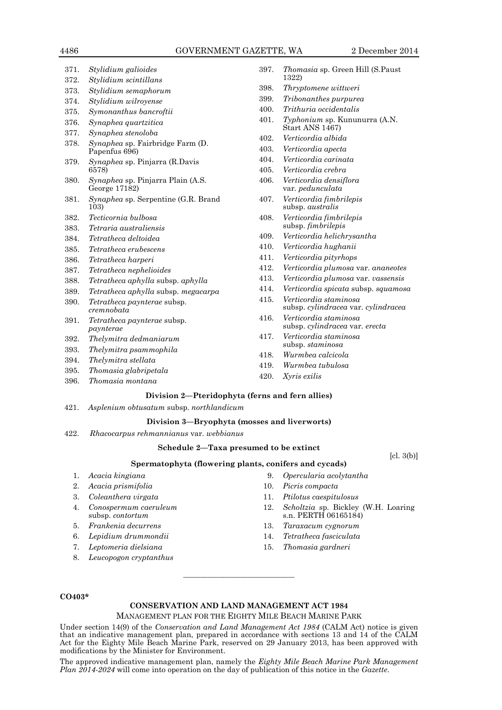| 371. | Stylidium galioides                                       |
|------|-----------------------------------------------------------|
| 372. | Stylidium scintillans                                     |
| 373. | Stylidium semaphorum                                      |
| 374. | Stylidium wilroyense                                      |
| 375. | Symonanthus bancroftii                                    |
| 376. | Synaphea quartzitica                                      |
| 377. | Synaphea stenoloba                                        |
| 378. | <i>Synaphea</i> sp. Fairbridge Farm (D.<br>Papenfus 696)  |
| 379. | <i>Synaphea</i> sp. Pinjarra (R.Davis<br>6578)            |
| 380. | <i>Synaphea</i> sp. Pinjarra Plain (A.S.<br>George 17182) |
| 381. | <i>Synaphea</i> sp. Serpentine (G.R. Brand<br>103)        |
| 382. | Tecticornia bulbosa                                       |
| 383. | Tetraria australiensis                                    |
| 384. | Tetratheca deltoidea                                      |
| 385. | Tetratheca erubescens                                     |
| 386. | Tetratheca harperi                                        |
| 387. | Tetratheca nephelioides                                   |
| 388. | Tetratheca aphylla subsp. aphylla                         |
| 389. | Tetratheca aphylla subsp. megacarpa                       |
| 390. | <i>Tetratheca paynterae</i> subsp.<br>$c$ remnobata       |
| 391. | <i>Tetratheca paynterae</i> subsp.<br>paynterae           |
| 392. | Thelymitra dedmaniarum                                    |
| 393. | Thelymitra psammophila                                    |
| 394. | Thelymitra stellata                                       |
| 395. | Thomasia glabripetala                                     |
| 396. | Thomasia montana                                          |
|      |                                                           |

| 397. <i>Thomasia</i> sp. Green Hill (S. Paust) |  |  |
|------------------------------------------------|--|--|
| 1322)                                          |  |  |

- 398. *Thryptomene wittweri*
- 399. *Tribonanthes purpurea*
- 400. *Trithuria occidentalis*
- 401. *Typhonium* sp. Kununurra (A.N. Start ANS 1467)
- 402. *Verticordia albida*
- 403. *Verticordia apecta*
- 404. *Verticordia carinata*
- 405. *Verticordia crebra*
- 406. *Verticordia densiflora*  var*. pedunculata*
- 407. *Verticordia fimbrilepis*  subsp. *australis*
- 408. *Verticordia fimbrilepis*  subsp. *fimbrilepis*
- 409. *Verticordia helichrysantha*
- 410. *Verticordia hughanii*
- 411. *Verticordia pityrhops*
- 412. *Verticordia plumosa* var. *ananeotes*
- 413. *Verticordia plumosa* var. *vassensis*
- 414. *Verticordia spicata* subsp. *squamosa*
- 415. *Verticordia staminosa*  subsp. *cylindracea* var*. cylindracea*
- 416. *Verticordia staminosa*  subsp. *cylindracea* var*. erecta*
- 417. *Verticordia staminosa*  subsp. *staminosa*
- 418. *Wurmbea calcicola*
- 419. *Wurmbea tubulosa*
- 420. *Xyris exilis*

### **Division 2—Pteridophyta (ferns and fern allies)**

421. *Asplenium obtusatum* subsp. *northlandicum*

#### **Division 3—Bryophyta (mosses and liverworts)**

422. *Rhacocarpus rehmannianus* var. *webbianus*

### **Schedule 2—Taxa presumed to be extinct**

 $[cl. 3(b)]$ 

#### **Spermatophyta (flowering plants, conifers and cycads)**

- 1. *Acacia kingiana*
- 2. *Acacia prismifolia*
- 3. *Coleanthera virgata*
- 4. *Conospermum caeruleum* subsp. *contortum*
- 5. *Frankenia decurrens*
- 6. *Lepidium drummondii*
- 7. *Leptomeria dielsiana*
- 8. *Leucopogon cryptanthus*
- 9. *Opercularia acolytantha*
- 10. *Picris compacta*
- 11. *Ptilotus caespitulosus*
- 12. *Scholtzia* sp. Bickley (W.H. Loaring s.n. PERTH 06165184)
- 13. *Taraxacum cygnorum*
- 14. *Tetratheca fasciculata*
- 15. *Thomasia gardneri*

### **CO403\***

### **CONSERVATION AND LAND MANAGEMENT ACT 1984**

MANAGEMENT PLAN FOR THE EIGHTY MILE BEACH MARINE PARK

————————————————————

Under section 14(9) of the *Conservation and Land Management Act 1984* (CALM Act) notice is given that an indicative management plan, prepared in accordance with sections 13 and 14 of the CALM Act for the Eighty Mile Beach Marine Park, reserved on 29 January 2013, has been approved with modifications by the Minister for Environment.

The approved indicative management plan, namely the *Eighty Mile Beach Marine Park Management Plan 2014-2024* will come into operation on the day of publication of this notice in the *Gazette*.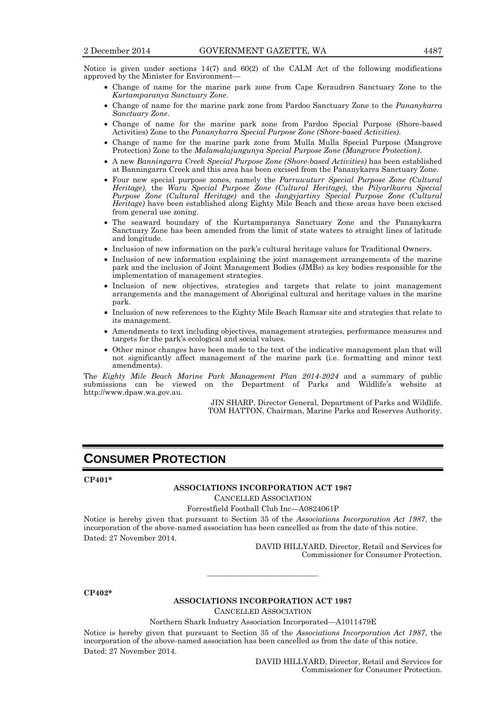Notice is given under sections  $14(7)$  and  $60(2)$  of the CALM Act of the following modifications approved by the Minister for Environment—

- Change of name for the marine park zone from Cape Keraudren Sanctuary Zone to the *Kurtamparanya Sanctuary Zone*.
- Change of name for the marine park zone from Pardoo Sanctuary Zone to the *Pananykarra Sanctuary Zone*.
- Change of name for the marine park zone from Pardoo Special Purpose (Shore-based Activities) Zone to the *Pananykarra Special Purpose Zone (Shore-based Activities)*.
- Change of name for the marine park zone from Mulla Mulla Special Purpose (Mangrove Protection) Zone to the *Malamalajungunya Special Purpose Zone (Mangrove Protection)*.
- A new *Banningarra Creek Special Purpose Zone (Shore-based Activities)* has been established at Banningarra Creek and this area has been excised from the Pananykarra Sanctuary Zone.
- Four new special purpose zones, namely the *Parruwuturr Special Purpose Zone (Cultural Heritage)*, the *Waru Special Purpose Zone (Cultural Heritage)*, the *Pilyarlkarra Special Purpose Zone (Cultural Heritage)* and the *Jangyjartiny Special Purpose Zone (Cultural Heritage)* have been established along Eighty Mile Beach and these areas have been excised from general use zoning.
- The seaward boundary of the Kurtamparanya Sanctuary Zone and the Pananykarra Sanctuary Zone has been amended from the limit of state waters to straight lines of latitude and longitude.
- Inclusion of new information on the park's cultural heritage values for Traditional Owners.
- Inclusion of new information explaining the joint management arrangements of the marine park and the inclusion of Joint Management Bodies (JMBs) as key bodies responsible for the implementation of management strategies.
- Inclusion of new objectives, strategies and targets that relate to joint management arrangements and the management of Aboriginal cultural and heritage values in the marine park.
- Inclusion of new references to the Eighty Mile Beach Ramsar site and strategies that relate to its management.
- Amendments to text including objectives, management strategies, performance measures and targets for the park's ecological and social values.
- Other minor changes have been made to the text of the indicative management plan that will not significantly affect management of the marine park (i.e. formatting and minor text amendments).

The *Eighty Mile Beach Marine Park Management Plan 2014-2024* and a summary of public submissions can be viewed on the Department of Parks and Wildlife's website at http://www.dpaw.wa.gov.au.

> JIN SHARP, Director General, Department of Parks and Wildlife. TOM HATTON, Chairman, Marine Parks and Reserves Authority.

### **CONSUMER PROTECTION**

#### **CP401\***

### **ASSOCIATIONS INCORPORATION ACT 1987**

CANCELLED ASSOCIATION

Forrestfield Football Club Inc—A0824061P

Notice is hereby given that pursuant to Section 35 of the *Associations Incorporation Act 1987*, the incorporation of the above-named association has been cancelled as from the date of this notice. Dated: 27 November 2014.

> DAVID HILLYARD, Director, Retail and Services for Commissioner for Consumer Protection.

#### **CP402\***

#### **ASSOCIATIONS INCORPORATION ACT 1987**

———————————

CANCELLED ASSOCIATION

Northern Shark Industry Association Incorporated—A1011479E

Notice is hereby given that pursuant to Section 35 of the *Associations Incorporation Act 1987*, the incorporation of the above-named association has been cancelled as from the date of this notice. Dated: 27 November 2014.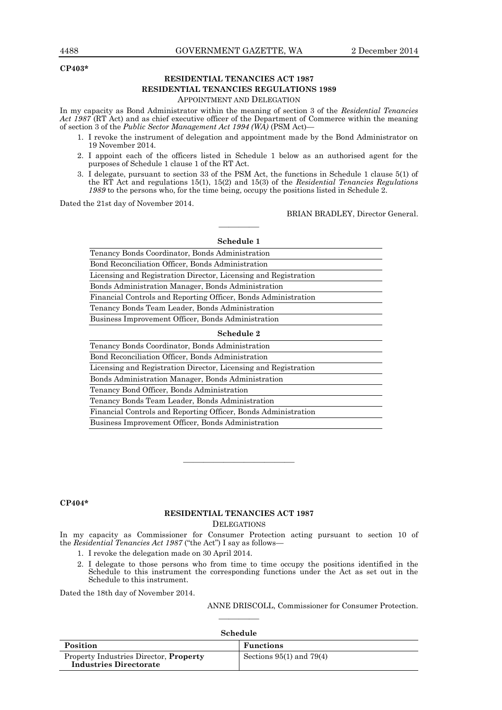#### **CP403\***

### **RESIDENTIAL TENANCIES ACT 1987 RESIDENTIAL TENANCIES REGULATIONS 1989**

### APPOINTMENT AND DELEGATION

In my capacity as Bond Administrator within the meaning of section 3 of the *Residential Tenancies*  Act 1987 (RT Act) and as chief executive officer of the Department of Commerce within the meaning of section 3 of the *Public Sector Management Act 1994 (WA)* (PSM Act)—

- 1. I revoke the instrument of delegation and appointment made by the Bond Administrator on 19 November 2014.
- 2. I appoint each of the officers listed in Schedule 1 below as an authorised agent for the purposes of Schedule 1 clause 1 of the RT Act.
- 3. I delegate, pursuant to section 33 of the PSM Act, the functions in Schedule 1 clause 5(1) of the RT Act and regulations 15(1), 15(2) and 15(3) of the *Residential Tenancies Regulations 1989* to the persons who, for the time being, occupy the positions listed in Schedule 2.

Dated the 21st day of November 2014.

BRIAN BRADLEY, Director General.

| Schedule 1                                                      |
|-----------------------------------------------------------------|
| Tenancy Bonds Coordinator, Bonds Administration                 |
| Bond Reconciliation Officer, Bonds Administration               |
| Licensing and Registration Director, Licensing and Registration |
| Bonds Administration Manager, Bonds Administration              |
| Financial Controls and Reporting Officer, Bonds Administration  |
| Tenancy Bonds Team Leader, Bonds Administration                 |
| Business Improvement Officer, Bonds Administration              |
| Schedule 2                                                      |
| Tenancy Bonds Coordinator, Bonds Administration                 |
| Bond Reconciliation Officer, Bonds Administration               |
| Licensing and Registration Director, Licensing and Registration |
| Bonds Administration Manager, Bonds Administration              |
| Tenancy Bond Officer, Bonds Administration                      |
| Tenancy Bonds Team Leader, Bonds Administration                 |

————

Financial Controls and Reporting Officer, Bonds Administration

Business Improvement Officer, Bonds Administration

### **CP404\***

#### **RESIDENTIAL TENANCIES ACT 1987 DELEGATIONS**

————————————————————

In my capacity as Commissioner for Consumer Protection acting pursuant to section 10 of the *Residential Tenancies Act 1987* ("the Act") I say as follows—

- 1. I revoke the delegation made on 30 April 2014.
- 2. I delegate to those persons who from time to time occupy the positions identified in the Schedule to this instrument the corresponding functions under the Act as set out in the Schedule to this instrument.

Dated the 18th day of November 2014.

ANNE DRISCOLL, Commissioner for Consumer Protection.

| Schedule                                                                |                              |  |  |
|-------------------------------------------------------------------------|------------------------------|--|--|
| Position                                                                | Functions                    |  |  |
| Property Industries Director, Property<br><b>Industries Directorate</b> | Sections $95(1)$ and $79(4)$ |  |  |

————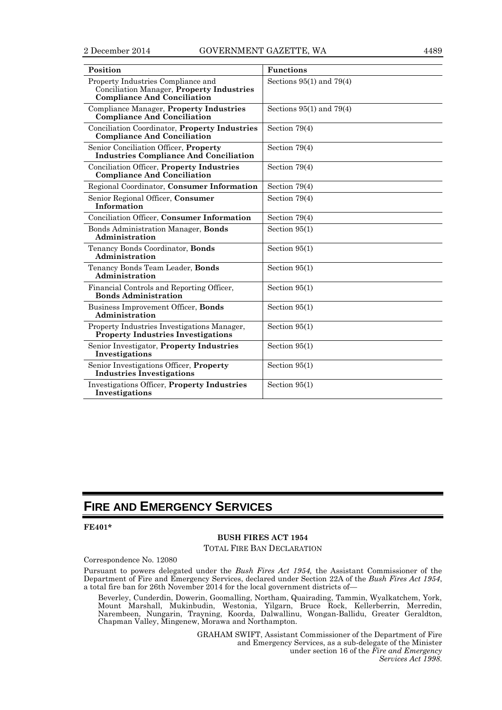| Position                                                                                                                     | <b>Functions</b>             |
|------------------------------------------------------------------------------------------------------------------------------|------------------------------|
| Property Industries Compliance and<br><b>Conciliation Manager, Property Industries</b><br><b>Compliance And Conciliation</b> | Sections $95(1)$ and $79(4)$ |
| <b>Compliance Manager, Property Industries</b><br><b>Compliance And Conciliation</b>                                         | Sections $95(1)$ and $79(4)$ |
| Conciliation Coordinator, Property Industries<br><b>Compliance And Conciliation</b>                                          | Section $79(4)$              |
| Senior Conciliation Officer, Property<br><b>Industries Compliance And Conciliation</b>                                       | Section $79(4)$              |
| Conciliation Officer, Property Industries<br><b>Compliance And Conciliation</b>                                              | Section $79(4)$              |
| Regional Coordinator, Consumer Information                                                                                   | Section 79(4)                |
| Senior Regional Officer, Consumer<br><b>Information</b>                                                                      | Section 79(4)                |
| Conciliation Officer, Consumer Information                                                                                   | Section $79(4)$              |
| Bonds Administration Manager, Bonds<br>Administration                                                                        | Section $95(1)$              |
| Tenancy Bonds Coordinator, Bonds<br>Administration                                                                           | Section $95(1)$              |
| Tenancy Bonds Team Leader, Bonds<br>Administration                                                                           | Section $95(1)$              |
| Financial Controls and Reporting Officer,<br><b>Bonds Administration</b>                                                     | Section $95(1)$              |
| Business Improvement Officer, Bonds<br>Administration                                                                        | Section $95(1)$              |
| Property Industries Investigations Manager,<br><b>Property Industries Investigations</b>                                     | Section $95(1)$              |
| Senior Investigator, Property Industries<br>Investigations                                                                   | Section $95(1)$              |
| Senior Investigations Officer, <b>Property</b><br><b>Industries Investigations</b>                                           | Section $95(1)$              |
| <b>Investigations Officer, Property Industries</b><br>Investigations                                                         | Section $95(1)$              |

## **FIRE AND EMERGENCY SERVICES**

**FE401\***

### **BUSH FIRES ACT 1954**

TOTAL FIRE BAN DECLARATION

### Correspondence No. 12080

Pursuant to powers delegated under the *Bush Fires Act 1954,* the Assistant Commissioner of the Department of Fire and Emergency Services, declared under Section 22A of the *Bush Fires Act 1954*, a total fire ban for 26th November 2014 for the local government districts of—

Beverley, Cunderdin, Dowerin, Goomalling, Northam, Quairading, Tammin, Wyalkatchem, York, Mount Marshall, Mukinbudin, Westonia, Yilgarn, Bruce Rock, Kellerberrin, Merredin, Narembeen, Nungarin, Trayning, Koorda, Dalwallinu, Wongan-Ballidu, Greater Geraldton, Chapman Valley, Mingenew, Morawa and Northampton.

> GRAHAM SWIFT, Assistant Commissioner of the Department of Fire and Emergency Services, as a sub-delegate of the Minister under section 16 of the *Fire and Emergency Services Act 1998*.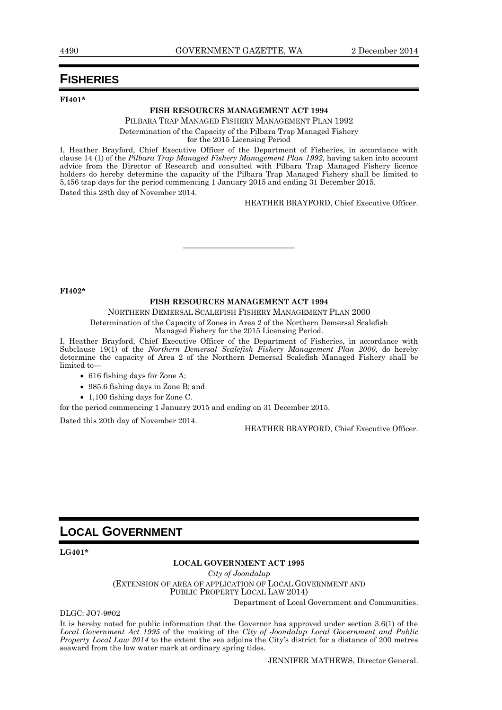### **FISHERIES**

**FI401\***

### **FISH RESOURCES MANAGEMENT ACT 1994**

PILBARA TRAP MANAGED FISHERY MANAGEMENT PLAN 1992 Determination of the Capacity of the Pilbara Trap Managed Fishery for the 2015 Licensing Period

I, Heather Brayford, Chief Executive Officer of the Department of Fisheries, in accordance with clause 14 (1) of the *Pilbara Trap Managed Fishery Management Plan 1992*, having taken into account advice from the Director of Research and consulted with Pilbara Trap Managed Fishery licence holders do hereby determine the capacity of the Pilbara Trap Managed Fishery shall be limited to 5,456 trap days for the period commencing 1 January 2015 and ending 31 December 2015. Dated this 28th day of November 2014.

HEATHER BRAYFORD, Chief Executive Officer.

**FI402\***

### **FISH RESOURCES MANAGEMENT ACT 1994**

———————————

NORTHERN DEMERSAL SCALEFISH FISHERY MANAGEMENT PLAN 2000

Determination of the Capacity of Zones in Area 2 of the Northern Demersal Scalefish Managed Fishery for the 2015 Licensing Period.

I, Heather Brayford, Chief Executive Officer of the Department of Fisheries, in accordance with Subclause 19(1) of the *Northern Demersal Scalefish Fishery Management Plan 2000*, do hereby determine the capacity of Area 2 of the Northern Demersal Scalefish Managed Fishery shall be limited to—

- 616 fishing days for Zone A;
- 985.6 fishing days in Zone B; and
- 1,100 fishing days for Zone C.

for the period commencing 1 January 2015 and ending on 31 December 2015.

Dated this 20th day of November 2014.

HEATHER BRAYFORD, Chief Executive Officer.

### **LOCAL GOVERNMENT**

**LG401\***

#### **LOCAL GOVERNMENT ACT 1995**

*City of Joondalup* (EXTENSION OF AREA OF APPLICATION OF LOCAL GOVERNMENT AND PUBLIC PROPERTY LOCAL LAW 2014) Department of Local Government and Communities.

DLGC: JO7-9#02

It is hereby noted for public information that the Governor has approved under section 3.6(1) of the *Local Government Act 1995* of the making of the *City of Joondalup Local Government and Public Property Local Law 2014* to the extent the sea adjoins the City's district for a distance of 200 metres seaward from the low water mark at ordinary spring tides.

JENNIFER MATHEWS, Director General.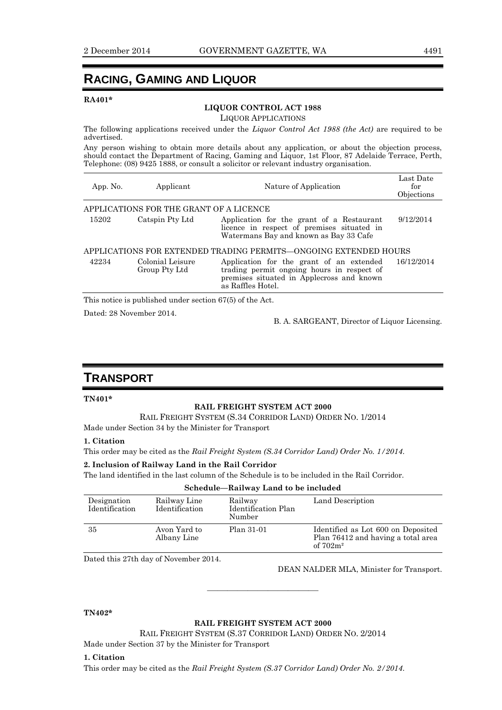### **RACING, GAMING AND LIQUOR**

### **RA401\***

### **LIQUOR CONTROL ACT 1988**

LIQUOR APPLICATIONS

The following applications received under the *Liquor Control Act 1988 (the Act)* are required to be advertised.

Any person wishing to obtain more details about any application, or about the objection process, should contact the Department of Racing, Gaming and Liquor, 1st Floor, 87 Adelaide Terrace, Perth, Telephone: (08) 9425 1888, or consult a solicitor or relevant industry organisation.

| App. No.                                                         | Applicant                               | Nature of Application                                                                                                                                    | Last Date<br>for<br>Objections |  |  |
|------------------------------------------------------------------|-----------------------------------------|----------------------------------------------------------------------------------------------------------------------------------------------------------|--------------------------------|--|--|
|                                                                  | APPLICATIONS FOR THE GRANT OF A LICENCE |                                                                                                                                                          |                                |  |  |
| 15202                                                            | Catspin Pty Ltd                         | Application for the grant of a Restaurant<br>licence in respect of premises situated in<br>Watermans Bay and known as Bay 33 Cafe                        | 9/12/2014                      |  |  |
| APPLICATIONS FOR EXTENDED TRADING PERMITS—ONGOING EXTENDED HOURS |                                         |                                                                                                                                                          |                                |  |  |
| 42234                                                            | Colonial Leisure<br>Group Pty Ltd       | Application for the grant of an extended<br>trading permit ongoing hours in respect of<br>premises situated in Applecross and known<br>as Raffles Hotel. | 16/12/2014                     |  |  |
|                                                                  |                                         |                                                                                                                                                          |                                |  |  |

This notice is published under section 67(5) of the Act.

Dated: 28 November 2014.

B. A. SARGEANT, Director of Liquor Licensing.

### **TRANSPORT**

### **TN401\***

### **RAIL FREIGHT SYSTEM ACT 2000**

RAIL FREIGHT SYSTEM (S.34 CORRIDOR LAND) ORDER NO. 1/2014

Made under Section 34 by the Minister for Transport

### **1. Citation**

This order may be cited as the *Rail Freight System (S.34 Corridor Land) Order No. 1/2014*.

### **2. Inclusion of Railway Land in the Rail Corridor**

The land identified in the last column of the Schedule is to be included in the Rail Corridor.

| Designation<br>Identification | Railway Line<br>Identification | Railway<br>Identification Plan<br>Number | Land Description                                                                        |
|-------------------------------|--------------------------------|------------------------------------------|-----------------------------------------------------------------------------------------|
| 35                            | Avon Yard to<br>Albany Line    | Plan 31-01                               | Identified as Lot 600 on Deposited<br>Plan 76412 and having a total area<br>of $702m^2$ |

Dated this 27th day of November 2014.

DEAN NALDER MLA, Minister for Transport.

### **TN402\***

### **RAIL FREIGHT SYSTEM ACT 2000**

———————————

RAIL FREIGHT SYSTEM (S.37 CORRIDOR LAND) ORDER NO. 2/2014 Made under Section 37 by the Minister for Transport

#### **1. Citation**

This order may be cited as the *Rail Freight System (S.37 Corridor Land) Order No. 2/2014*.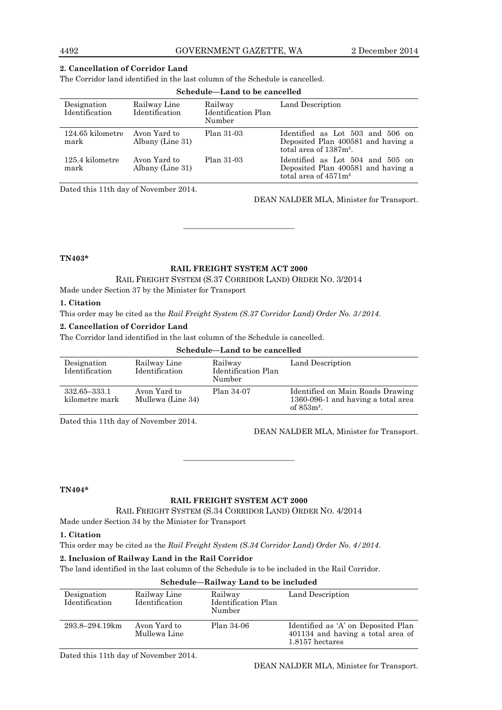### **2. Cancellation of Corridor Land**

The Corridor land identified in the last column of the Schedule is cancelled.

| Schedule—Land to be cancelled |                                  |                                          |                                                                                                     |
|-------------------------------|----------------------------------|------------------------------------------|-----------------------------------------------------------------------------------------------------|
| Designation<br>Identification | Railway Line<br>Identification   | Railway<br>Identification Plan<br>Number | Land Description                                                                                    |
| $124.65$ kilometre<br>mark    | Avon Yard to<br>Albany (Line 31) | Plan 31-03                               | Identified as Lot 503 and 506 on<br>Deposited Plan 400581 and having a<br>total area of $1387m^2$ . |
| 125.4 kilometre<br>mark       | Avon Yard to<br>Albany (Line 31) | Plan 31-03                               | Identified as Lot 504 and 505 on<br>Deposited Plan 400581 and having a<br>total area of $4571m^2$   |

Dated this 11th day of November 2014.

DEAN NALDER MLA, Minister for Transport.

**TN403\***

### **RAIL FREIGHT SYSTEM ACT 2000**

———————————

RAIL FREIGHT SYSTEM (S.37 CORRIDOR LAND) ORDER NO. 3/2014

Made under Section 37 by the Minister for Transport

### **1. Citation**

This order may be cited as the *Rail Freight System (S.37 Corridor Land) Order No. 3/2014*.

### **2. Cancellation of Corridor Land**

The Corridor land identified in the last column of the Schedule is cancelled.

### **Schedule—Land to be cancelled**

| Designation<br>Identification  | Railway Line<br>Identification    | Railway<br>Identification Plan<br>Number | Land Description                                                                        |
|--------------------------------|-----------------------------------|------------------------------------------|-----------------------------------------------------------------------------------------|
| 332.65-333.1<br>kilometre mark | Avon Yard to<br>Mullewa (Line 34) | Plan 34-07                               | Identified on Main Roads Drawing<br>1360-096-1 and having a total area<br>of $853m^2$ . |

Dated this 11th day of November 2014.

DEAN NALDER MLA, Minister for Transport.

**TN404\***

### **RAIL FREIGHT SYSTEM ACT 2000**

———————————

RAIL FREIGHT SYSTEM (S.34 CORRIDOR LAND) ORDER NO. 4/2014

Made under Section 34 by the Minister for Transport

### **1. Citation**

This order may be cited as the *Rail Freight System (S.34 Corridor Land) Order No. 4/2014*.

### **2. Inclusion of Railway Land in the Rail Corridor**

The land identified in the last column of the Schedule is to be included in the Rail Corridor.

| Schedule—Railway Land to be included |                                |                                          |                                                                                             |
|--------------------------------------|--------------------------------|------------------------------------------|---------------------------------------------------------------------------------------------|
| Designation<br>Identification        | Railway Line<br>Identification | Railway<br>Identification Plan<br>Number | Land Description                                                                            |
| 293.8–294.19km                       | Avon Yard to<br>Mullewa Line   | Plan 34-06                               | Identified as 'A' on Deposited Plan<br>401134 and having a total area of<br>1.8157 hectares |

### **Schedule—Railway Land to be included**

Dated this 11th day of November 2014.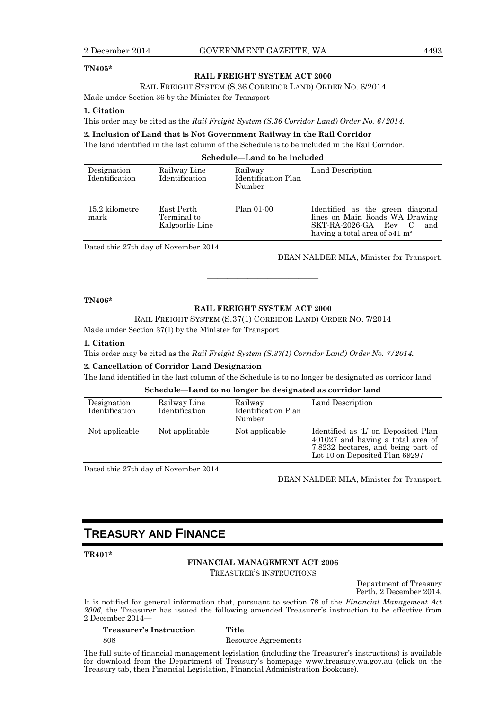#### **TN405\***

#### **RAIL FREIGHT SYSTEM ACT 2000**

RAIL FREIGHT SYSTEM (S.36 CORRIDOR LAND) ORDER NO. 6/2014

Made under Section 36 by the Minister for Transport

#### **1. Citation**

This order may be cited as the *Rail Freight System (S.36 Corridor Land) Order No. 6/2014*.

### **2. Inclusion of Land that is Not Government Railway in the Rail Corridor**

The land identified in the last column of the Schedule is to be included in the Rail Corridor.

**Schedule—Land to be included**

| Designation<br>Identification | Railway Line<br>Identification               | Railway<br>Identification Plan<br>Number | Land Description                                                                                                                                   |
|-------------------------------|----------------------------------------------|------------------------------------------|----------------------------------------------------------------------------------------------------------------------------------------------------|
| 15.2 kilometre<br>mark        | East Perth<br>Terminal to<br>Kalgoorlie Line | Plan 01-00                               | Identified as the green diagonal<br>lines on Main Roads WA Drawing<br>SKT-RA-2026-GA Rev<br>- C<br>and<br>having a total area of $541 \text{ m}^2$ |

Dated this 27th day of November 2014.

DEAN NALDER MLA, Minister for Transport.

### **TN406\***

### **RAIL FREIGHT SYSTEM ACT 2000**

———————————

RAIL FREIGHT SYSTEM (S.37(1) CORRIDOR LAND) ORDER NO. 7/2014

Made under Section 37(1) by the Minister for Transport

#### **1. Citation**

This order may be cited as the *Rail Freight System (S.37(1) Corridor Land) Order No. 7/2014.*

#### **2. Cancellation of Corridor Land Designation**

The land identified in the last column of the Schedule is to no longer be designated as corridor land.

**Schedule—Land to no longer be designated as corridor land**

| Designation<br>Identification | Railway Line<br>Identification | Railway<br>Identification Plan<br>Number | Land Description                                                                                                                                 |
|-------------------------------|--------------------------------|------------------------------------------|--------------------------------------------------------------------------------------------------------------------------------------------------|
| Not applicable                | Not applicable                 | Not applicable                           | Identified as 'L' on Deposited Plan<br>401027 and having a total area of<br>7.8232 hectares, and being part of<br>Lot 10 on Deposited Plan 69297 |

Dated this 27th day of November 2014.

DEAN NALDER MLA, Minister for Transport.

### **TREASURY AND FINANCE**

**TR401\***

**FINANCIAL MANAGEMENT ACT 2006** TREASURER'S INSTRUCTIONS

Department of Treasury Perth, 2 December 2014.

It is notified for general information that, pursuant to section 78 of the *Financial Management Act 2006*, the Treasurer has issued the following amended Treasurer's instruction to be effective from 2 December 2014—

**Treasurer's Instruction Title** 808 Resource Agreements

The full suite of financial management legislation (including the Treasurer's instructions) is available for download from the Department of Treasury's homepage www.treasury.wa.gov.au (click on the Treasury tab, then Financial Legislation, Financial Administration Bookcase).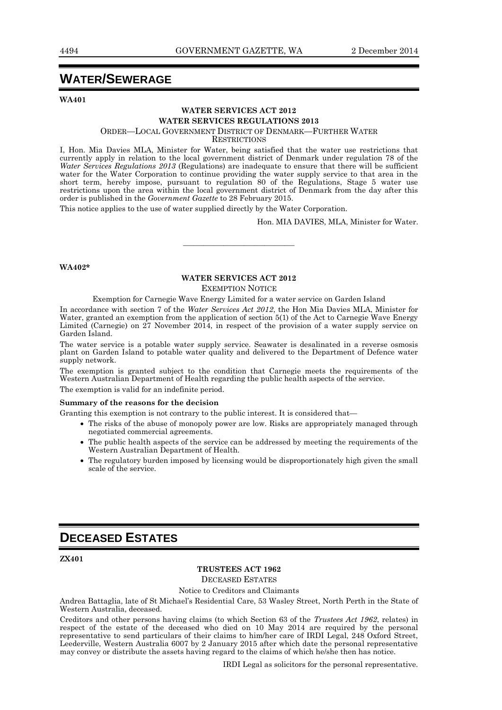### **WATER/SEWERAGE**

**WA401**

### **WATER SERVICES ACT 2012 WATER SERVICES REGULATIONS 2013**

ORDER—LOCAL GOVERNMENT DISTRICT OF DENMARK—FURTHER WATER

**RESTRICTIONS** 

I, Hon. Mia Davies MLA, Minister for Water, being satisfied that the water use restrictions that currently apply in relation to the local government district of Denmark under regulation 78 of the *Water Services Regulations 2013* (Regulations) are inadequate to ensure that there will be sufficient water for the Water Corporation to continue providing the water supply service to that area in the short term, hereby impose, pursuant to regulation 80 of the Regulations, Stage 5 water use restrictions upon the area within the local government district of Denmark from the day after this order is published in the *Government Gazette* to 28 February 2015.

This notice applies to the use of water supplied directly by the Water Corporation.

Hon. MIA DAVIES, MLA, Minister for Water.

#### **WA402\***

### **WATER SERVICES ACT 2012**

———————————

EXEMPTION NOTICE

Exemption for Carnegie Wave Energy Limited for a water service on Garden Island

In accordance with section 7 of the *Water Services Act 2012*, the Hon Mia Davies MLA, Minister for Water, granted an exemption from the application of section 5(1) of the Act to Carnegie Wave Energy Limited (Carnegie) on 27 November 2014, in respect of the provision of a water supply service on Garden Island.

The water service is a potable water supply service. Seawater is desalinated in a reverse osmosis plant on Garden Island to potable water quality and delivered to the Department of Defence water supply network.

The exemption is granted subject to the condition that Carnegie meets the requirements of the Western Australian Department of Health regarding the public health aspects of the service.

The exemption is valid for an indefinite period.

### **Summary of the reasons for the decision**

Granting this exemption is not contrary to the public interest. It is considered that—

- The risks of the abuse of monopoly power are low. Risks are appropriately managed through negotiated commercial agreements.
- The public health aspects of the service can be addressed by meeting the requirements of the Western Australian Department of Health*.*
- The regulatory burden imposed by licensing would be disproportionately high given the small scale of the service.

### **DECEASED ESTATES**

**ZX401**

### **TRUSTEES ACT 1962**

DECEASED ESTATES

### Notice to Creditors and Claimants

Andrea Battaglia, late of St Michael's Residential Care, 53 Wasley Street, North Perth in the State of Western Australia, deceased.

Creditors and other persons having claims (to which Section 63 of the *Trustees Act 1962*, relates) in respect of the estate of the deceased who died on 10 May 2014 are required by the personal representative to send particulars of their claims to him/her care of IRDI Legal, 248 Oxford Street, Leederville, Western Australia 6007 by 2 January 2015 after which date the personal representative may convey or distribute the assets having regard to the claims of which he/she then has notice.

IRDI Legal as solicitors for the personal representative.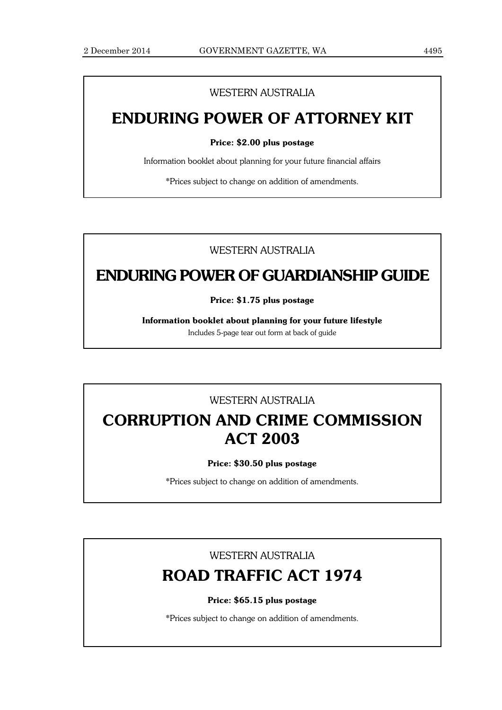### WESTERN AUSTRALIA

## **ENDURING POWER OF ATTORNEY KIT**

### **Price: \$2.00 plus postage**

Information booklet about planning for your future financial affairs

\*Prices subject to change on addition of amendments.

### WESTERN AUSTRALIA

## **ENDURING POWER OF GUARDIANSHIP GUIDE**

**Price: \$1.75 plus postage**

**Information booklet about planning for your future lifestyle**

Includes 5-page tear out form at back of guide

### WESTERN AUSTRALIA

## **CORRUPTION AND CRIME COMMISSION ACT 2003**

### **Price: \$30.50 plus postage**

\*Prices subject to change on addition of amendments.

### WESTERN AUSTRALIA

## **ROAD TRAFFIC ACT 1974**

### **Price: \$65.15 plus postage**

\*Prices subject to change on addition of amendments.